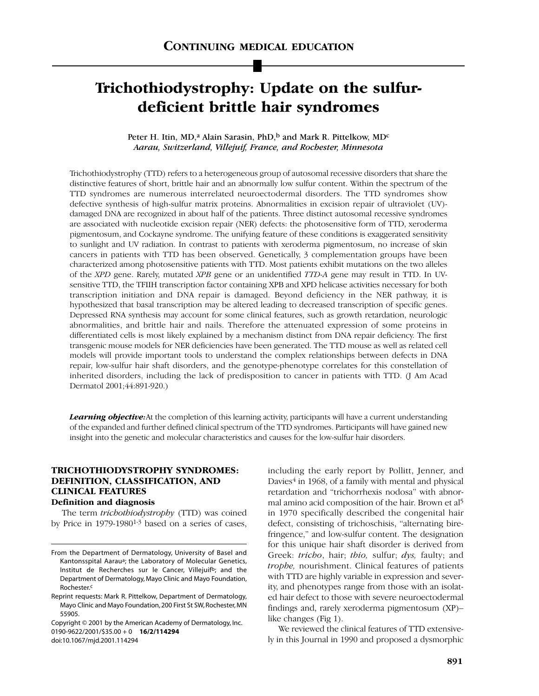# **Trichothiodystrophy: Update on the sulfurdeficient brittle hair syndromes**

#### Peter H. Itin, MD,<sup>a</sup> Alain Sarasin, PhD,<sup>b</sup> and Mark R. Pittelkow, MD<sup>c</sup> *Aarau, Switzerland, Villejuif, France, and Rochester, Minnesota*

Trichothiodystrophy (TTD) refers to a heterogeneous group of autosomal recessive disorders that share the distinctive features of short, brittle hair and an abnormally low sulfur content. Within the spectrum of the TTD syndromes are numerous interrelated neuroectodermal disorders. The TTD syndromes show defective synthesis of high-sulfur matrix proteins. Abnormalities in excision repair of ultraviolet (UV) damaged DNA are recognized in about half of the patients. Three distinct autosomal recessive syndromes are associated with nucleotide excision repair (NER) defects: the photosensitive form of TTD, xeroderma pigmentosum, and Cockayne syndrome. The unifying feature of these conditions is exaggerated sensitivity to sunlight and UV radiation. In contrast to patients with xeroderma pigmentosum, no increase of skin cancers in patients with TTD has been observed. Genetically, 3 complementation groups have been characterized among photosensitive patients with TTD. Most patients exhibit mutations on the two alleles of the *XPD* gene. Rarely, mutated *XPB* gene or an unidentified *TTD-A* gene may result in TTD. In UVsensitive TTD, the TFIIH transcription factor containing XPB and XPD helicase activities necessary for both transcription initiation and DNA repair is damaged. Beyond deficiency in the NER pathway, it is hypothesized that basal transcription may be altered leading to decreased transcription of specific genes. Depressed RNA synthesis may account for some clinical features, such as growth retardation, neurologic abnormalities, and brittle hair and nails. Therefore the attenuated expression of some proteins in differentiated cells is most likely explained by a mechanism distinct from DNA repair deficiency. The first transgenic mouse models for NER deficiencies have been generated. The TTD mouse as well as related cell models will provide important tools to understand the complex relationships between defects in DNA repair, low-sulfur hair shaft disorders, and the genotype-phenotype correlates for this constellation of inherited disorders, including the lack of predisposition to cancer in patients with TTD. (J Am Acad Dermatol 2001;44:891-920.)

*Learning objective:*At the completion of this learning activity, participants will have a current understanding of the expanded and further defined clinical spectrum of the TTD syndromes. Participants will have gained new insight into the genetic and molecular characteristics and causes for the low-sulfur hair disorders.

#### **TRICHOTHIODYSTROPHY SYNDROMES: DEFINITION, CLASSIFICATION, AND CLINICAL FEATURES Definition and diagnosis**

The term *trichothiodystrophy* (TTD) was coined by Price in 1979-19801-3 based on a series of cases, including the early report by Pollitt, Jenner, and Davies $4$  in 1968, of a family with mental and physical retardation and "trichorrhexis nodosa" with abnormal amino acid composition of the hair. Brown et al5 in 1970 specifically described the congenital hair defect, consisting of trichoschisis, "alternating birefringence," and low-sulfur content. The designation for this unique hair shaft disorder is derived from Greek: *tricho*, hair; *thio,* sulfur; *dys,* faulty; and *trophe,* nourishment. Clinical features of patients with TTD are highly variable in expression and severity, and phenotypes range from those with an isolated hair defect to those with severe neuroectodermal findings and, rarely xeroderma pigmentosum (XP)– like changes (Fig 1).

We reviewed the clinical features of TTD extensively in this Journal in 1990 and proposed a dysmorphic

From the Department of Dermatology, University of Basel and Kantonsspital Aarau<sup>a</sup>; the Laboratory of Molecular Genetics, Institut de Recherches sur le Cancer, Villejuifb; and the Department of Dermatology, Mayo Clinic and Mayo Foundation, Rochester<sup>c</sup>

Reprint requests: Mark R. Pittelkow, Department of Dermatology, Mayo Clinic and Mayo Foundation, 200 First St SW, Rochester, MN 55905.

Copyright © 2001 by the American Academy of Dermatology, Inc. 0190-9622/2001/\$35.00 + 0 **16/2/114294** doi:10.1067/mjd.2001.114294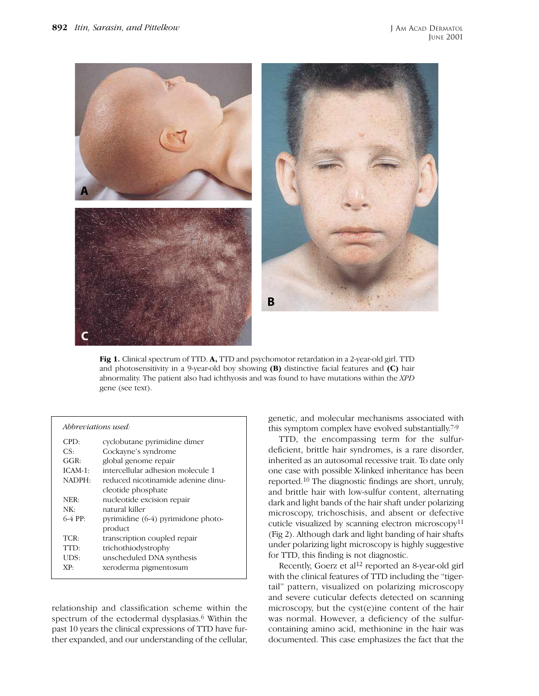

**Fig 1.** Clinical spectrum of TTD. **A,** TTD and psychomotor retardation in a 2-year-old girl. TTD and photosensitivity in a 9-year-old boy showing **(B)** distinctive facial features and **(C)** hair abnormality. The patient also had ichthyosis and was found to have mutations within the *XPD* gene (see text).

| Abbreviations used: |                                    |
|---------------------|------------------------------------|
| CPD:                | cyclobutane pyrimidine dimer       |
| CS:                 | Cockayne's syndrome                |
| GGR:                | global genome repair               |
| $ICAM-1:$           | intercellular adhesion molecule 1  |
| NADPH:              | reduced nicotinamide adenine dinu- |
|                     | cleotide phosphate                 |
| NER:                | nucleotide excision repair         |
| NK:                 | natural killer                     |
| $6-4$ PP.           | pyrimidine (6-4) pyrimidone photo- |
|                     | product                            |
| TCR:                | transcription coupled repair       |
| TTD:                | trichothiodystrophy                |
| UDS:                | unscheduled DNA synthesis          |
| XP.                 | xeroderma pigmentosum              |
|                     |                                    |

relationship and classification scheme within the spectrum of the ectodermal dysplasias.6 Within the past 10 years the clinical expressions of TTD have further expanded, and our understanding of the cellular, genetic, and molecular mechanisms associated with this symptom complex have evolved substantially.7-9

TTD, the encompassing term for the sulfurdeficient, brittle hair syndromes, is a rare disorder, inherited as an autosomal recessive trait. To date only one case with possible X-linked inheritance has been reported.10 The diagnostic findings are short, unruly, and brittle hair with low-sulfur content, alternating dark and light bands of the hair shaft under polarizing microscopy, trichoschisis, and absent or defective cuticle visualized by scanning electron microscopy11 (Fig 2). Although dark and light banding of hair shafts under polarizing light microscopy is highly suggestive for TTD, this finding is not diagnostic.

Recently, Goerz et al<sup>12</sup> reported an 8-year-old girl with the clinical features of TTD including the "tigertail" pattern, visualized on polarizing microscopy and severe cuticular defects detected on scanning microscopy, but the cyst(e)ine content of the hair was normal. However, a deficiency of the sulfurcontaining amino acid, methionine in the hair was documented. This case emphasizes the fact that the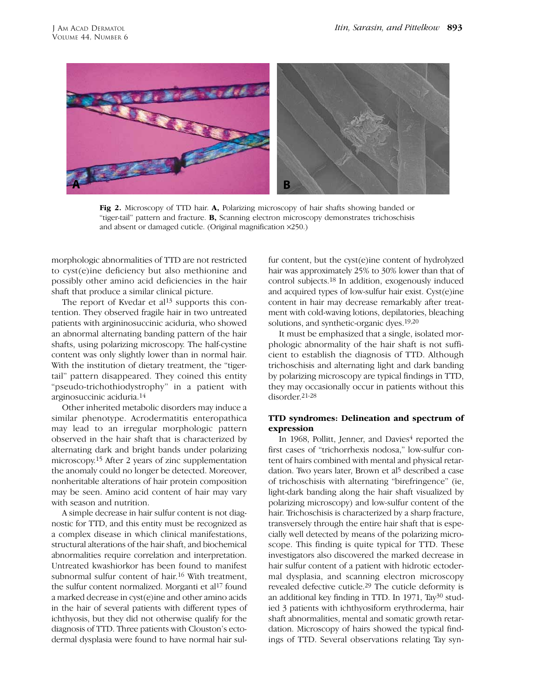

**Fig 2.** Microscopy of TTD hair. **A,** Polarizing microscopy of hair shafts showing banded or "tiger-tail" pattern and fracture. **B,** Scanning electron microscopy demonstrates trichoschisis and absent or damaged cuticle. (Original magnification ×250.)

morphologic abnormalities of TTD are not restricted to cyst(e)ine deficiency but also methionine and possibly other amino acid deficiencies in the hair shaft that produce a similar clinical picture.

The report of Kvedar et al<sup>13</sup> supports this contention. They observed fragile hair in two untreated patients with argininosuccinic aciduria, who showed an abnormal alternating banding pattern of the hair shafts, using polarizing microscopy. The half-cystine content was only slightly lower than in normal hair. With the institution of dietary treatment, the "tigertail" pattern disappeared. They coined this entity "pseudo-trichothiodystrophy" in a patient with arginosuccinic aciduria.14

Other inherited metabolic disorders may induce a similar phenotype. Acrodermatitis enteropathica may lead to an irregular morphologic pattern observed in the hair shaft that is characterized by alternating dark and bright bands under polarizing microscopy.15 After 2 years of zinc supplementation the anomaly could no longer be detected. Moreover, nonheritable alterations of hair protein composition may be seen. Amino acid content of hair may vary with season and nutrition.

A simple decrease in hair sulfur content is not diagnostic for TTD, and this entity must be recognized as a complex disease in which clinical manifestations, structural alterations of the hair shaft, and biochemical abnormalities require correlation and interpretation. Untreated kwashiorkor has been found to manifest subnormal sulfur content of hair.16 With treatment, the sulfur content normalized. Morganti et al<sup>17</sup> found a marked decrease in cyst(e)ine and other amino acids in the hair of several patients with different types of ichthyosis, but they did not otherwise qualify for the diagnosis of TTD. Three patients with Clouston's ectodermal dysplasia were found to have normal hair sulfur content, but the cyst(e)ine content of hydrolyzed hair was approximately 25% to 30% lower than that of control subjects.18 In addition, exogenously induced and acquired types of low-sulfur hair exist. Cyst(e)ine content in hair may decrease remarkably after treatment with cold-waving lotions, depilatories, bleaching solutions, and synthetic-organic dyes.19,20

It must be emphasized that a single, isolated morphologic abnormality of the hair shaft is not sufficient to establish the diagnosis of TTD. Although trichoschisis and alternating light and dark banding by polarizing microscopy are typical findings in TTD, they may occasionally occur in patients without this disorder.21-28

#### **TTD syndromes: Delineation and spectrum of expression**

In 1968, Pollitt, Jenner, and Davies<sup>4</sup> reported the first cases of "trichorrhexis nodosa," low-sulfur content of hairs combined with mental and physical retardation. Two years later, Brown et al<sup>5</sup> described a case of trichoschisis with alternating "birefringence" (ie, light-dark banding along the hair shaft visualized by polarizing microscopy) and low-sulfur content of the hair. Trichoschisis is characterized by a sharp fracture, transversely through the entire hair shaft that is especially well detected by means of the polarizing microscope. This finding is quite typical for TTD. These investigators also discovered the marked decrease in hair sulfur content of a patient with hidrotic ectodermal dysplasia, and scanning electron microscopy revealed defective cuticle.29 The cuticle deformity is an additional key finding in TTD. In 1971, Tay30 studied 3 patients with ichthyosiform erythroderma, hair shaft abnormalities, mental and somatic growth retardation. Microscopy of hairs showed the typical findings of TTD. Several observations relating Tay syn-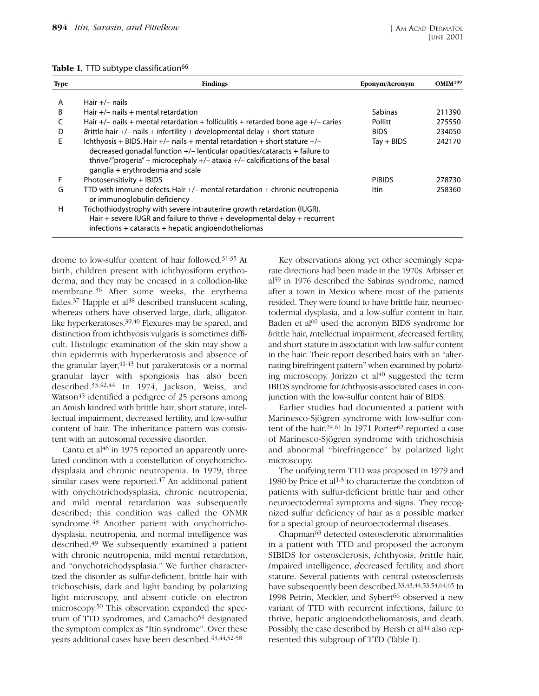| <b>Type</b> | <b>Findings</b>                                                                                                                                                                                                                                                                       | Eponym/Acronym | OMIM <sup>199</sup> |
|-------------|---------------------------------------------------------------------------------------------------------------------------------------------------------------------------------------------------------------------------------------------------------------------------------------|----------------|---------------------|
| A           | Hair $+/-$ nails                                                                                                                                                                                                                                                                      |                |                     |
| B           | Hair $+/-$ nails $+$ mental retardation                                                                                                                                                                                                                                               | Sabinas        | 211390              |
|             | Hair $+/-$ nails + mental retardation + folliculitis + retarded bone age $+/-$ caries                                                                                                                                                                                                 | Pollitt        | 275550              |
| D           | Brittle hair $+/-$ nails + infertility + developmental delay + short stature                                                                                                                                                                                                          | <b>BIDS</b>    | 234050              |
| E           | Ichthyosis + BIDS. Hair $+/-$ nails + mental retardation + short stature $+/-$<br>decreased gonadal function $+/-$ lenticular opacities/cataracts + failure to<br>thrive/"progeria" + microcephaly $+/-$ ataxia $+/-$ calcifications of the basal<br>ganglia + erythroderma and scale | $Tay + BIDS$   | 242170              |
| F           | Photosensitivity + IBIDS                                                                                                                                                                                                                                                              | <b>PIBIDS</b>  | 278730              |
| G           | TTD with immune defects. Hair $+/-$ mental retardation $+$ chronic neutropenia<br>or immunoglobulin deficiency                                                                                                                                                                        | Itin           | 258360              |
| н           | Trichothiodystrophy with severe intrauterine growth retardation (IUGR).<br>Hair + severe IUGR and failure to thrive + developmental delay + recurrent<br>$infections + characters + hepatic angioendotheliomas$                                                                       |                |                     |

drome to low-sulfur content of hair followed.31-35 At birth, children present with ichthyosiform erythroderma, and they may be encased in a collodion-like membrane.36 After some weeks, the erythema fades.<sup>37</sup> Happle et al<sup>38</sup> described translucent scaling, whereas others have observed large, dark, alligatorlike hyperkeratoses.39,40 Flexures may be spared, and distinction from ichthyosis vulgaris is sometimes difficult. Histologic examination of the skin may show a thin epidermis with hyperkeratosis and absence of the granular layer,  $41-43$  but parakeratosis or a normal granular layer with spongiosis has also been described.33,42,44 In 1974, Jackson, Weiss, and Watson<sup>45</sup> identified a pedigree of 25 persons among an Amish kindred with brittle hair, short stature, intellectual impairment, decreased fertility, and low-sulfur content of hair. The inheritance pattern was consistent with an autosomal recessive disorder.

Cantu et al $46$  in 1975 reported an apparently unrelated condition with a constellation of onychotrichodysplasia and chronic neutropenia. In 1979, three similar cases were reported.<sup>47</sup> An additional patient with onychotrichodysplasia, chronic neutropenia, and mild mental retardation was subsequently described; this condition was called the ONMR syndrome.<sup>48</sup> Another patient with onychotrichodysplasia, neutropenia, and normal intelligence was described.49 We subsequently examined a patient with chronic neutropenia, mild mental retardation, and "onychotrichodysplasia." We further characterized the disorder as sulfur-deficient, brittle hair with trichoschisis, dark and light banding by polarizing light microscopy, and absent cuticle on electron microscopy.50 This observation expanded the spectrum of TTD syndromes, and Camacho<sup>51</sup> designated the symptom complex as "Itin syndrome". Over these years additional cases have been described.43,44,52-58

Key observations along yet other seemingly separate directions had been made in the 1970s. Arbisser et al59 in 1976 described the Sabinas syndrome, named after a town in Mexico where most of the patients resided. They were found to have brittle hair, neuroectodermal dysplasia, and a low-sulfur content in hair. Baden et al<sup>60</sup> used the acronym BIDS syndrome for *b*rittle hair, *i*ntellectual impairment, *d*ecreased fertility, and *s*hort stature in association with low-sulfur content in the hair. Their report described hairs with an "alternating birefringent pattern" when examined by polarizing microscopy. Jorizzo et  $al^{40}$  suggested the term IBIDS syndrome for *i*chthyosis-associated cases in conjunction with the low-sulfur content hair of BIDS.

Earlier studies had documented a patient with Marinesco-Sjögren syndrome with low-sulfur content of the hair.<sup>24,61</sup> In 1971 Porter<sup>62</sup> reported a case of Marinesco-Sjögren syndrome with trichoschisis and abnormal "birefringence" by polarized light microscopy.

The unifying term TTD was proposed in 1979 and 1980 by Price et al<sup>1-3</sup> to characterize the condition of patients with sulfur-deficient brittle hair and other neuroectodermal symptoms and signs. They recognized sulfur deficiency of hair as a possible marker for a special group of neuroectodermal diseases.

Chapman63 detected osteosclerotic abnormalities in a patient with TTD and proposed the acronym SIBIDS for osteo*s*clerosis, *i*chthyosis, *b*rittle hair, *i*mpaired intelligence, *d*ecreased fertility, and *s*hort stature. Several patients with central osteosclerosis have subsequently been described.33,43,44,53,54,64,65 In 1998 Petrin, Meckler, and Sybert<sup>66</sup> observed a new variant of TTD with recurrent infections, failure to thrive, hepatic angioendotheliomatosis, and death. Possibly, the case described by Hersh et al $44$  also represented this subgroup of TTD (Table I).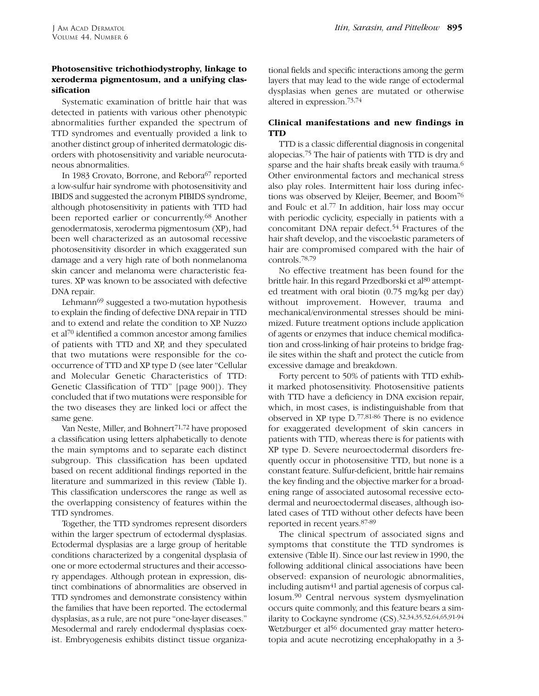#### **Photosensitive trichothiodystrophy, linkage to xeroderma pigmentosum, and a unifying classification**

Systematic examination of brittle hair that was detected in patients with various other phenotypic abnormalities further expanded the spectrum of TTD syndromes and eventually provided a link to another distinct group of inherited dermatologic disorders with photosensitivity and variable neurocutaneous abnormalities.

In 1983 Crovato, Borrone, and Rebora67 reported a low-sulfur hair syndrome with photosensitivity and IBIDS and suggested the acronym PIBIDS syndrome, although photosensitivity in patients with TTD had been reported earlier or concurrently.<sup>68</sup> Another genodermatosis, xeroderma pigmentosum (XP), had been well characterized as an autosomal recessive photosensitivity disorder in which exaggerated sun damage and a very high rate of both nonmelanoma skin cancer and melanoma were characteristic features. XP was known to be associated with defective DNA repair.

Lehmann<sup>69</sup> suggested a two-mutation hypothesis to explain the finding of defective DNA repair in TTD and to extend and relate the condition to XP. Nuzzo et al70 identified a common ancestor among families of patients with TTD and XP, and they speculated that two mutations were responsible for the cooccurrence of TTD and XP type D (see later "Cellular and Molecular Genetic Characteristics of TTD: Genetic Classification of TTD" [page 900]). They concluded that if two mutations were responsible for the two diseases they are linked loci or affect the same gene.

Van Neste, Miller, and Bohnert<sup>71,72</sup> have proposed a classification using letters alphabetically to denote the main symptoms and to separate each distinct subgroup. This classification has been updated based on recent additional findings reported in the literature and summarized in this review (Table I). This classification underscores the range as well as the overlapping consistency of features within the TTD syndromes.

Together, the TTD syndromes represent disorders within the larger spectrum of ectodermal dysplasias. Ectodermal dysplasias are a large group of heritable conditions characterized by a congenital dysplasia of one or more ectodermal structures and their accessory appendages. Although protean in expression, distinct combinations of abnormalities are observed in TTD syndromes and demonstrate consistency within the families that have been reported. The ectodermal dysplasias, as a rule, are not pure "one-layer diseases." Mesodermal and rarely endodermal dysplasias coexist. Embryogenesis exhibits distinct tissue organiza-

tional fields and specific interactions among the germ layers that may lead to the wide range of ectodermal dysplasias when genes are mutated or otherwise altered in expression.73,74

### **Clinical manifestations and new findings in TTD**

TTD is a classic differential diagnosis in congenital alopecias.75 The hair of patients with TTD is dry and sparse and the hair shafts break easily with trauma.6 Other environmental factors and mechanical stress also play roles. Intermittent hair loss during infections was observed by Kleijer, Beemer, and Boom76 and Foulc et al.77 In addition, hair loss may occur with periodic cyclicity, especially in patients with a concomitant DNA repair defect.54 Fractures of the hair shaft develop, and the viscoelastic parameters of hair are compromised compared with the hair of controls.78,79

No effective treatment has been found for the brittle hair. In this regard Przedborski et al<sup>80</sup> attempted treatment with oral biotin (0.75 mg/kg per day) without improvement. However, trauma and mechanical/environmental stresses should be minimized. Future treatment options include application of agents or enzymes that induce chemical modification and cross-linking of hair proteins to bridge fragile sites within the shaft and protect the cuticle from excessive damage and breakdown.

Forty percent to 50% of patients with TTD exhibit marked photosensitivity. Photosensitive patients with TTD have a deficiency in DNA excision repair, which, in most cases, is indistinguishable from that observed in XP type D.77,81-86 There is no evidence for exaggerated development of skin cancers in patients with TTD, whereas there is for patients with XP type D. Severe neuroectodermal disorders frequently occur in photosensitive TTD, but none is a constant feature. Sulfur-deficient, brittle hair remains the key finding and the objective marker for a broadening range of associated autosomal recessive ectodermal and neuroectodermal diseases, although isolated cases of TTD without other defects have been reported in recent years.87-89

The clinical spectrum of associated signs and symptoms that constitute the TTD syndromes is extensive (Table II). Since our last review in 1990, the following additional clinical associations have been observed: expansion of neurologic abnormalities, including autism<sup>41</sup> and partial agenesis of corpus callosum.90 Central nervous system dysmyelination occurs quite commonly, and this feature bears a similarity to Cockayne syndrome (CS).32,34,35,52,64,65,91-94 Wetzburger et al<sup>56</sup> documented gray matter heterotopia and acute necrotizing encephalopathy in a 3-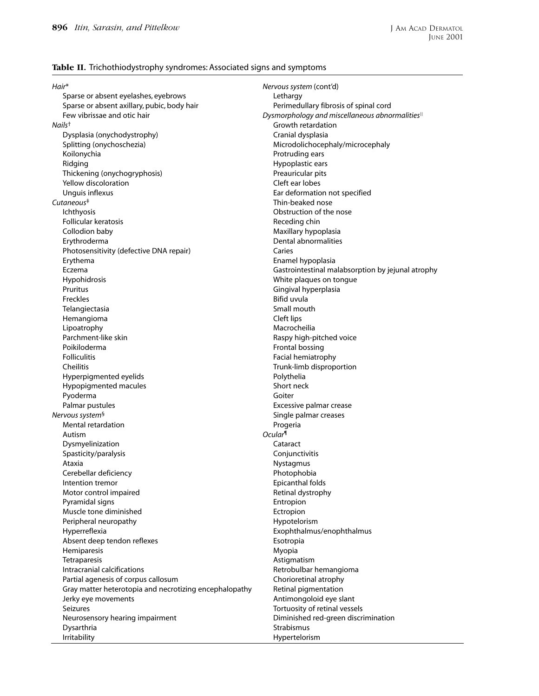## **Table II.** Trichothiodystrophy syndromes: Associated signs and symptoms

| Hair*                                                  | Nervous system (cont'd)                                     |
|--------------------------------------------------------|-------------------------------------------------------------|
| Sparse or absent eyelashes, eyebrows                   | Lethargy                                                    |
| Sparse or absent axillary, pubic, body hair            | Perimedullary fibrosis of spinal cord                       |
| Few vibrissae and otic hair                            | Dysmorphology and miscellaneous abnormalities <sup>11</sup> |
| Nails <sup>t</sup>                                     | Growth retardation                                          |
| Dysplasia (onychodystrophy)                            | Cranial dysplasia                                           |
| Splitting (onychoschezia)                              | Microdolichocephaly/microcephaly                            |
| Koilonychia                                            | Protruding ears                                             |
| Ridging                                                | Hypoplastic ears                                            |
| Thickening (onychogryphosis)                           | Preauricular pits                                           |
| Yellow discoloration                                   | Cleft ear lobes                                             |
| Unguis inflexus                                        | Ear deformation not specified                               |
| Cutaneous <sup>‡</sup>                                 | Thin-beaked nose                                            |
| <b>Ichthyosis</b>                                      | Obstruction of the nose                                     |
| Follicular keratosis                                   | Receding chin                                               |
| Collodion baby                                         | Maxillary hypoplasia                                        |
| Erythroderma                                           | Dental abnormalities                                        |
| Photosensitivity (defective DNA repair)                | Caries                                                      |
| Erythema                                               | Enamel hypoplasia                                           |
| Eczema                                                 | Gastrointestinal malabsorption by jejunal atrophy           |
| Hypohidrosis                                           | White plaques on tongue                                     |
| Pruritus                                               | Gingival hyperplasia                                        |
| <b>Freckles</b>                                        | Bifid uvula                                                 |
| Telangiectasia                                         | Small mouth                                                 |
| Hemangioma                                             | Cleft lips                                                  |
| Lipoatrophy                                            | Macrocheilia                                                |
| Parchment-like skin                                    | Raspy high-pitched voice                                    |
| Poikiloderma                                           | Frontal bossing                                             |
| <b>Folliculitis</b>                                    | Facial hemiatrophy                                          |
| Cheilitis                                              | Trunk-limb disproportion                                    |
| Hyperpigmented eyelids                                 | Polythelia                                                  |
| Hypopigmented macules                                  | Short neck                                                  |
| Pyoderma                                               | Goiter                                                      |
| Palmar pustules                                        | Excessive palmar crease                                     |
| Nervous system <sup>§</sup>                            | Single palmar creases                                       |
| Mental retardation                                     | Progeria                                                    |
| Autism                                                 | Ocular <sup>¶</sup>                                         |
| Dysmyelinization                                       | Cataract                                                    |
| Spasticity/paralysis                                   | Conjunctivitis                                              |
| Ataxia                                                 | Nystagmus                                                   |
| Cerebellar deficiency                                  | Photophobia                                                 |
| Intention tremor                                       | Epicanthal folds                                            |
| Motor control impaired                                 | Retinal dystrophy                                           |
| Pyramidal signs                                        | Entropion                                                   |
| Muscle tone diminished                                 | Ectropion                                                   |
| Peripheral neuropathy                                  | Hypotelorism                                                |
| Hyperreflexia                                          | Exophthalmus/enophthalmus                                   |
| Absent deep tendon reflexes                            | Esotropia                                                   |
| Hemiparesis                                            | Myopia                                                      |
| Tetraparesis                                           | Astigmatism                                                 |
| Intracranial calcifications                            | Retrobulbar hemangioma                                      |
|                                                        | Chorioretinal atrophy                                       |
| Partial agenesis of corpus callosum                    |                                                             |
| Gray matter heterotopia and necrotizing encephalopathy | Retinal pigmentation                                        |
| Jerky eye movements<br>Seizures                        | Antimongoloid eye slant                                     |
|                                                        | Tortuosity of retinal vessels                               |
| Neurosensory hearing impairment                        | Diminished red-green discrimination                         |
| Dysarthria                                             | Strabismus                                                  |
| Irritability                                           | Hypertelorism                                               |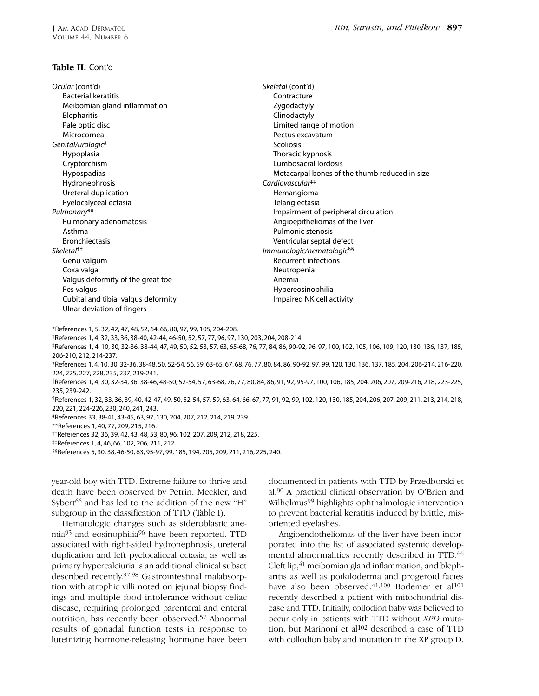#### **Table II.** Cont'd

| Ocular (cont'd)                                                   | Skeletal (cont'd)                             |
|-------------------------------------------------------------------|-----------------------------------------------|
| <b>Bacterial keratitis</b>                                        | Contracture                                   |
| Meibomian gland inflammation                                      | Zygodactyly                                   |
| <b>Blepharitis</b>                                                | Clinodactyly                                  |
| Pale optic disc                                                   | Limited range of motion                       |
| Microcornea                                                       | Pectus excavatum                              |
| Genital/urologic#                                                 | <b>Scoliosis</b>                              |
| Hypoplasia                                                        | Thoracic kyphosis                             |
| Cryptorchism                                                      | Lumbosacral lordosis                          |
| <b>Hypospadias</b>                                                | Metacarpal bones of the thumb reduced in size |
| Hydronephrosis                                                    | Cardiovascular#                               |
| Ureteral duplication                                              | Hemangioma                                    |
| Pyelocalyceal ectasia                                             | Telangiectasia                                |
| Pulmonary**                                                       | Impairment of peripheral circulation          |
| Pulmonary adenomatosis                                            | Angioepitheliomas of the liver                |
| Asthma                                                            | Pulmonic stenosis                             |
| <b>Bronchiectasis</b>                                             | Ventricular septal defect                     |
| Skeletal <sup>††</sup>                                            | Immunologic/hematologic <sup>§§</sup>         |
| Genu valgum                                                       | <b>Recurrent infections</b>                   |
| Coxa valga                                                        | Neutropenia                                   |
| Valgus deformity of the great toe                                 | Anemia                                        |
| Pes valgus                                                        | Hypereosinophilia                             |
| Cubital and tibial valgus deformity<br>Ulnar deviation of fingers | Impaired NK cell activity                     |

\*References 1, 5, 32, 42, 47, 48, 52, 64, 66, 80, 97, 99, 105, 204-208.

†References 1, 4, 32, 33, 36, 38-40, 42-44, 46-50, 52, 57, 77, 96, 97, 130, 203, 204, 208-214.

‡References 1, 4, 10, 30, 32-36, 38-44, 47, 49, 50, 52, 53, 57, 63, 65-68, 76, 77, 84, 86, 90-92, 96, 97, 100, 102, 105, 106, 109, 120, 130, 136, 137, 185, 206-210, 212, 214-237.

§References 1, 4, 10, 30, 32-36, 38-48, 50, 52-54, 56, 59, 63-65, 67, 68, 76, 77, 80, 84, 86, 90-92, 97, 99, 120, 130, 136, 137, 185, 204, 206-214, 216-220, 224, 225, 227, 228, 235, 237, 239-241.

||References 1, 4, 30, 32-34, 36, 38-46, 48-50, 52-54, 57, 63-68, 76, 77, 80, 84, 86, 91, 92, 95-97, 100, 106, 185, 204, 206, 207, 209-216, 218, 223-225, 235, 239-242.

¶References 1, 32, 33, 36, 39, 40, 42-47, 49, 50, 52-54, 57, 59, 63, 64, 66, 67, 77, 91, 92, 99, 102, 120, 130, 185, 204, 206, 207, 209, 211, 213, 214, 218, 220, 221, 224-226, 230, 240, 241, 243.

#References 33, 38-41, 43-45, 63, 97, 130, 204, 207, 212, 214, 219, 239.

\*\*References 1, 40, 77, 209, 215, 216.

††References 32, 36, 39, 42, 43, 48, 53, 80, 96, 102, 207, 209, 212, 218, 225.

‡‡References 1, 4, 46, 66, 102, 206, 211, 212.

§§References 5, 30, 38, 46-50, 63, 95-97, 99, 185, 194, 205, 209, 211, 216, 225, 240.

year-old boy with TTD. Extreme failure to thrive and death have been observed by Petrin, Meckler, and Sybert<sup>66</sup> and has led to the addition of the new "H" subgroup in the classification of TTD (Table I).

Hematologic changes such as sideroblastic anemia95 and eosinophilia96 have been reported. TTD associated with right-sided hydronephrosis, ureteral duplication and left pyelocaliceal ectasia, as well as primary hypercalciuria is an additional clinical subset described recently.97,98 Gastrointestinal malabsorption with atrophic villi noted on jejunal biopsy findings and multiple food intolerance without celiac disease, requiring prolonged parenteral and enteral nutrition, has recently been observed.57 Abnormal results of gonadal function tests in response to luteinizing hormone-releasing hormone have been documented in patients with TTD by Przedborski et al.80 A practical clinical observation by O'Brien and Wilhelmus99 highlights ophthalmologic intervention to prevent bacterial keratitis induced by brittle, misoriented eyelashes.

Angioendotheliomas of the liver have been incorporated into the list of associated systemic developmental abnormalities recently described in TTD.66 Cleft lip, <sup>41</sup> meibomian gland inflammation, and blepharitis as well as poikiloderma and progeroid facies have also been observed.<sup>41,100</sup> Bodemer et al<sup>101</sup> recently described a patient with mitochondrial disease and TTD. Initially, collodion baby was believed to occur only in patients with TTD without *XPD* mutation, but Marinoni et al<sup>102</sup> described a case of TTD with collodion baby and mutation in the XP group D.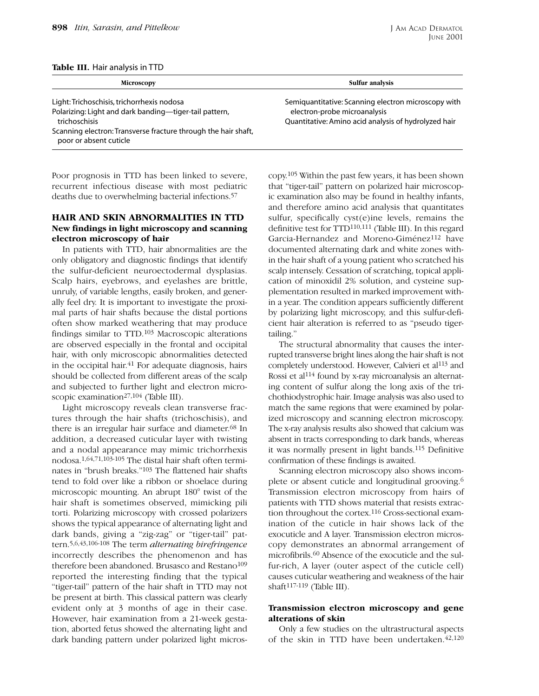| Table III. Hair analysis in TTD |  |  |  |
|---------------------------------|--|--|--|
|---------------------------------|--|--|--|

| Microscopy                                                                                                            | Sulfur analysis                                                                                                                             |  |  |
|-----------------------------------------------------------------------------------------------------------------------|---------------------------------------------------------------------------------------------------------------------------------------------|--|--|
| Light: Trichoschisis, trichorrhexis nodosa<br>Polarizing: Light and dark banding—tiger-tail pattern,<br>trichoschisis | Semiquantitative: Scanning electron microscopy with<br>electron-probe microanalysis<br>Quantitative: Amino acid analysis of hydrolyzed hair |  |  |
| Scanning electron: Transverse fracture through the hair shaft,<br>poor or absent cuticle                              |                                                                                                                                             |  |  |

Poor prognosis in TTD has been linked to severe, recurrent infectious disease with most pediatric deaths due to overwhelming bacterial infections.57

#### **HAIR AND SKIN ABNORMALITIES IN TTD New findings in light microscopy and scanning electron microscopy of hair**

In patients with TTD, hair abnormalities are the only obligatory and diagnostic findings that identify the sulfur-deficient neuroectodermal dysplasias. Scalp hairs, eyebrows, and eyelashes are brittle, unruly, of variable lengths, easily broken, and generally feel dry. It is important to investigate the proximal parts of hair shafts because the distal portions often show marked weathering that may produce findings similar to TTD.103 Macroscopic alterations are observed especially in the frontal and occipital hair, with only microscopic abnormalities detected in the occipital hair.<sup>41</sup> For adequate diagnosis, hairs should be collected from different areas of the scalp and subjected to further light and electron microscopic examination<sup>27,104</sup> (Table III).

Light microscopy reveals clean transverse fractures through the hair shafts (trichoschisis), and there is an irregular hair surface and diameter.<sup>68</sup> In addition, a decreased cuticular layer with twisting and a nodal appearance may mimic trichorrhexis nodosa.1,64,71,103-105 The distal hair shaft often terminates in "brush breaks."103 The flattened hair shafts tend to fold over like a ribbon or shoelace during microscopic mounting. An abrupt 180° twist of the hair shaft is sometimes observed, mimicking pili torti. Polarizing microscopy with crossed polarizers shows the typical appearance of alternating light and dark bands, giving a "zig-zag" or "tiger-tail" pattern.5,6,43,106-108 The term *alternating birefringence* incorrectly describes the phenomenon and has therefore been abandoned. Brusasco and Restano<sup>109</sup> reported the interesting finding that the typical "tiger-tail" pattern of the hair shaft in TTD may not be present at birth. This classical pattern was clearly evident only at 3 months of age in their case. However, hair examination from a 21-week gestation, aborted fetus showed the alternating light and dark banding pattern under polarized light micros-

copy.105 Within the past few years, it has been shown that "tiger-tail" pattern on polarized hair microscopic examination also may be found in healthy infants, and therefore amino acid analysis that quantitates sulfur, specifically cyst(e)ine levels, remains the definitive test for TTD110,111 (Table III). In this regard Garcia-Hernandez and Moreno-Giménez112 have documented alternating dark and white zones within the hair shaft of a young patient who scratched his scalp intensely. Cessation of scratching, topical application of minoxidil 2% solution, and cysteine supplementation resulted in marked improvement within a year. The condition appears sufficiently different by polarizing light microscopy, and this sulfur-deficient hair alteration is referred to as "pseudo tigertailing."

The structural abnormality that causes the interrupted transverse bright lines along the hair shaft is not completely understood. However, Calvieri et al113 and Rossi et al114 found by x-ray microanalysis an alternating content of sulfur along the long axis of the trichothiodystrophic hair. Image analysis was also used to match the same regions that were examined by polarized microscopy and scanning electron microscopy. The x-ray analysis results also showed that calcium was absent in tracts corresponding to dark bands, whereas it was normally present in light bands.115 Definitive confirmation of these findings is awaited.

Scanning electron microscopy also shows incomplete or absent cuticle and longitudinal grooving.6 Transmission electron microscopy from hairs of patients with TTD shows material that resists extraction throughout the cortex.116 Cross-sectional examination of the cuticle in hair shows lack of the exocuticle and A layer. Transmission electron microscopy demonstrates an abnormal arrangement of microfibrils.60 Absence of the exocuticle and the sulfur-rich, A layer (outer aspect of the cuticle cell) causes cuticular weathering and weakness of the hair shaft<sup>117-119</sup> (Table III).

#### **Transmission electron microscopy and gene alterations of skin**

Only a few studies on the ultrastructural aspects of the skin in TTD have been undertaken.42,120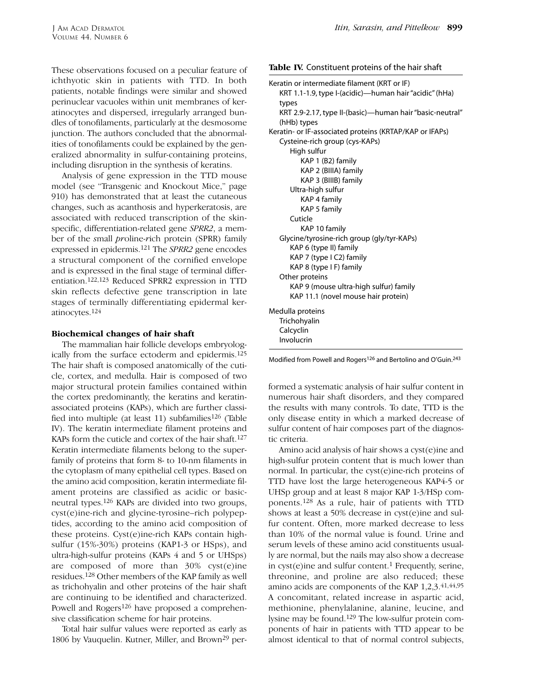These observations focused on a peculiar feature of ichthyotic skin in patients with TTD. In both patients, notable findings were similar and showed perinuclear vacuoles within unit membranes of keratinocytes and dispersed, irregularly arranged bundles of tonofilaments, particularly at the desmosome junction. The authors concluded that the abnormalities of tonofilaments could be explained by the generalized abnormality in sulfur-containing proteins, including disruption in the synthesis of keratins.

Analysis of gene expression in the TTD mouse model (see "Transgenic and Knockout Mice," page 910) has demonstrated that at least the cutaneous changes, such as acanthosis and hyperkeratosis, are associated with reduced transcription of the skinspecific, differentiation-related gene *SPRR2*, a member of the *s*mall *pr*oline-*r*ich protein (SPRR) family expressed in epidermis.121 The *SPRR2* gene encodes a structural component of the cornified envelope and is expressed in the final stage of terminal differentiation.122,123 Reduced SPRR2 expression in TTD skin reflects defective gene transcription in late stages of terminally differentiating epidermal keratinocytes.124

#### **Biochemical changes of hair shaft**

The mammalian hair follicle develops embryologically from the surface ectoderm and epidermis.125 The hair shaft is composed anatomically of the cuticle, cortex, and medulla. Hair is composed of two major structural protein families contained within the cortex predominantly, the keratins and keratinassociated proteins (KAPs), which are further classified into multiple (at least 11) subfamilies<sup>126</sup> (Table IV). The keratin intermediate filament proteins and KAPs form the cuticle and cortex of the hair shaft.127 Keratin intermediate filaments belong to the superfamily of proteins that form 8- to 10-nm filaments in the cytoplasm of many epithelial cell types. Based on the amino acid composition, keratin intermediate filament proteins are classified as acidic or basicneutral types.126 KAPs are divided into two groups, cyst(e)ine-rich and glycine-tyrosine–rich polypeptides, according to the amino acid composition of these proteins. Cyst(e)ine-rich KAPs contain highsulfur (15%-30%) proteins (KAP1-3 or HSps), and ultra-high-sulfur proteins (KAPs 4 and 5 or UHSps) are composed of more than 30% cyst(e)ine residues.128 Other members of the KAP family as well as trichohyalin and other proteins of the hair shaft are continuing to be identified and characterized. Powell and Rogers<sup>126</sup> have proposed a comprehensive classification scheme for hair proteins.

Total hair sulfur values were reported as early as 1806 by Vauquelin. Kutner, Miller, and Brown29 per-

#### Table IV. Constituent proteins of the hair shaft

| Keratin or intermediate filament (KRT or IF)             |
|----------------------------------------------------------|
| KRT 1.1-1.9, type I-(acidic)—human hair "acidic" (hHa)   |
| types                                                    |
| KRT 2.9-2.17, type II-(basic)—human hair "basic-neutral" |
| (hHb) types                                              |
| Keratin- or IF-associated proteins (KRTAP/KAP or IFAPs)  |
| Cysteine-rich group (cys-KAPs)                           |
| High sulfur                                              |
| KAP 1 (B2) family                                        |
| KAP 2 (BIIIA) family                                     |
| KAP 3 (BIIIB) family                                     |
| Ultra-high sulfur                                        |
| KAP 4 family                                             |
| KAP 5 family                                             |
| Cuticle                                                  |
| KAP 10 family                                            |
| Glycine/tyrosine-rich group (gly/tyr-KAPs)               |
| KAP 6 (type II) family                                   |
| KAP 7 (type I C2) family                                 |
| KAP 8 (type I F) family                                  |
| Other proteins                                           |
| KAP 9 (mouse ultra-high sulfur) family                   |
| KAP 11.1 (novel mouse hair protein)                      |
| Medulla proteins                                         |
| Trichohyalin                                             |
| Calcyclin                                                |
| Involucrin                                               |
|                                                          |

Modified from Powell and Rogers126 and Bertolino and O'Guin.243

formed a systematic analysis of hair sulfur content in numerous hair shaft disorders, and they compared the results with many controls. To date, TTD is the only disease entity in which a marked decrease of sulfur content of hair composes part of the diagnostic criteria.

Amino acid analysis of hair shows a cyst(e)ine and high-sulfur protein content that is much lower than normal. In particular, the cyst(e)ine-rich proteins of TTD have lost the large heterogeneous KAP4-5 or UHSp group and at least 8 major KAP 1-3/HSp components.128 As a rule, hair of patients with TTD shows at least a 50% decrease in cyst(e)ine and sulfur content. Often, more marked decrease to less than 10% of the normal value is found. Urine and serum levels of these amino acid constituents usually are normal, but the nails may also show a decrease in  $\text{cyst}(e)$ ine and sulfur content.<sup>1</sup> Frequently, serine, threonine, and proline are also reduced; these amino acids are components of the KAP 1,2,3.41,44,95 A concomitant, related increase in aspartic acid, methionine, phenylalanine, alanine, leucine, and lysine may be found.129 The low-sulfur protein components of hair in patients with TTD appear to be almost identical to that of normal control subjects,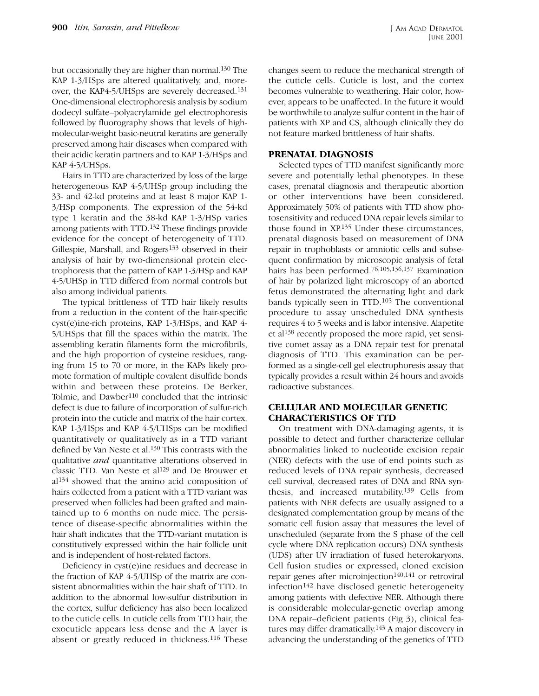but occasionally they are higher than normal.130 The KAP 1-3/HSps are altered qualitatively, and, moreover, the KAP4-5/UHSps are severely decreased.131 One-dimensional electrophoresis analysis by sodium dodecyl sulfate–polyacrylamide gel electrophoresis followed by fluorography shows that levels of highmolecular-weight basic-neutral keratins are generally preserved among hair diseases when compared with their acidic keratin partners and to KAP 1-3/HSps and KAP 4-5/UHSps.

Hairs in TTD are characterized by loss of the large heterogeneous KAP 4-5/UHSp group including the 33- and 42-kd proteins and at least 8 major KAP 1- 3/HSp components. The expression of the 54-kd type 1 keratin and the 38-kd KAP 1-3/HSp varies among patients with TTD.132 These findings provide evidence for the concept of heterogeneity of TTD. Gillespie, Marshall, and Rogers<sup>133</sup> observed in their analysis of hair by two-dimensional protein electrophoresis that the pattern of KAP 1-3/HSp and KAP 4-5/UHSp in TTD differed from normal controls but also among individual patients.

The typical brittleness of TTD hair likely results from a reduction in the content of the hair-specific cyst(e)ine-rich proteins, KAP 1-3/HSps, and KAP 4- 5/UHSps that fill the spaces within the matrix. The assembling keratin filaments form the microfibrils, and the high proportion of cysteine residues, ranging from 15 to 70 or more, in the KAPs likely promote formation of multiple covalent disulfide bonds within and between these proteins. De Berker, Tolmie, and Dawber110 concluded that the intrinsic defect is due to failure of incorporation of sulfur-rich protein into the cuticle and matrix of the hair cortex. KAP 1-3/HSps and KAP 4-5/UHSps can be modified quantitatively or qualitatively as in a TTD variant defined by Van Neste et al.130 This contrasts with the qualitative *and* quantitative alterations observed in classic TTD. Van Neste et al<sup>129</sup> and De Brouwer et al134 showed that the amino acid composition of hairs collected from a patient with a TTD variant was preserved when follicles had been grafted and maintained up to 6 months on nude mice. The persistence of disease-specific abnormalities within the hair shaft indicates that the TTD-variant mutation is constitutively expressed within the hair follicle unit and is independent of host-related factors.

Deficiency in cyst(e)ine residues and decrease in the fraction of KAP 4-5/UHSp of the matrix are consistent abnormalities within the hair shaft of TTD. In addition to the abnormal low-sulfur distribution in the cortex, sulfur deficiency has also been localized to the cuticle cells. In cuticle cells from TTD hair, the exocuticle appears less dense and the A layer is absent or greatly reduced in thickness.116 These

changes seem to reduce the mechanical strength of the cuticle cells. Cuticle is lost, and the cortex becomes vulnerable to weathering. Hair color, however, appears to be unaffected. In the future it would be worthwhile to analyze sulfur content in the hair of patients with XP and CS, although clinically they do not feature marked brittleness of hair shafts.

#### **PRENATAL DIAGNOSIS**

Selected types of TTD manifest significantly more severe and potentially lethal phenotypes. In these cases, prenatal diagnosis and therapeutic abortion or other interventions have been considered. Approximately 50% of patients with TTD show photosensitivity and reduced DNA repair levels similar to those found in XP.135 Under these circumstances, prenatal diagnosis based on measurement of DNA repair in trophoblasts or amniotic cells and subsequent confirmation by microscopic analysis of fetal hairs has been performed.76,105,136,137 Examination of hair by polarized light microscopy of an aborted fetus demonstrated the alternating light and dark bands typically seen in TTD.105 The conventional procedure to assay unscheduled DNA synthesis requires 4 to 5 weeks and is labor intensive. Alapetite et al138 recently proposed the more rapid, yet sensitive comet assay as a DNA repair test for prenatal diagnosis of TTD. This examination can be performed as a single-cell gel electrophoresis assay that typically provides a result within 24 hours and avoids radioactive substances.

#### **CELLULAR AND MOLECULAR GENETIC CHARACTERISTICS OF TTD**

On treatment with DNA-damaging agents, it is possible to detect and further characterize cellular abnormalities linked to nucleotide excision repair (NER) defects with the use of end points such as reduced levels of DNA repair synthesis, decreased cell survival, decreased rates of DNA and RNA synthesis, and increased mutability.139 Cells from patients with NER defects are usually assigned to a designated complementation group by means of the somatic cell fusion assay that measures the level of unscheduled (separate from the S phase of the cell cycle where DNA replication occurs) DNA synthesis (UDS) after UV irradiation of fused heterokaryons. Cell fusion studies or expressed, cloned excision repair genes after microinjection140,141 or retroviral infection142 have disclosed genetic heterogeneity among patients with defective NER. Although there is considerable molecular-genetic overlap among DNA repair–deficient patients (Fig 3), clinical features may differ dramatically.143 A major discovery in advancing the understanding of the genetics of TTD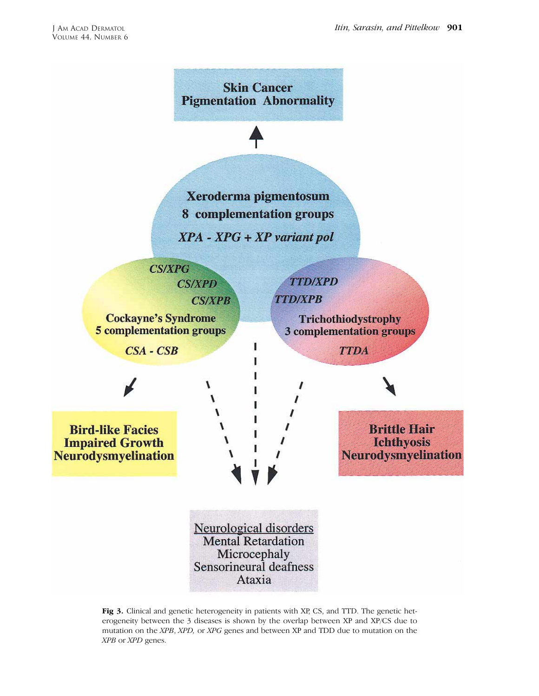

Fig 3. Clinical and genetic heterogeneity in patients with XP, CS, and TTD. The genetic heterogeneity between the 3 diseases is shown by the overlap between XP and XP/CS due to mutation on the *XPB*, *XPD,* or *XPG* genes and between XP and TDD due to mutation on the *XPB* or *XPD* genes.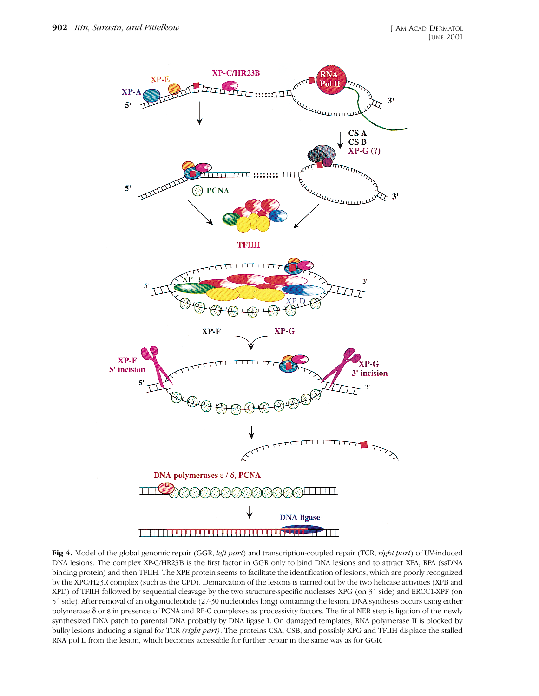

**Fig 4.** Model of the global genomic repair (GGR, *left part*) and transcription-coupled repair (TCR, *right part*) of UV-induced DNA lesions. The complex XP-C/HR23B is the first factor in GGR only to bind DNA lesions and to attract XPA, RPA (ssDNA binding protein) and then TFIIH. The XPE protein seems to facilitate the identification of lesions, which are poorly recognized by the XPC/H23R complex (such as the CPD). Demarcation of the lesions is carried out by the two helicase activities (XPB and XPD) of TFIIH followed by sequential cleavage by the two structure-specific nucleases XPG (on 3´ side) and ERCC1-XPF (on 5´ side). After removal of an oligonucleotide (27-30 nucleotides long) containing the lesion, DNA synthesis occurs using either polymerase δ or ε in presence of PCNA and RF-C complexes as processivity factors. The final NER step is ligation of the newly synthesized DNA patch to parental DNA probably by DNA ligase I. On damaged templates, RNA polymerase II is blocked by bulky lesions inducing a signal for TCR *(right part)*. The proteins CSA, CSB, and possibly XPG and TFIIH displace the stalled RNA pol II from the lesion, which becomes accessible for further repair in the same way as for GGR.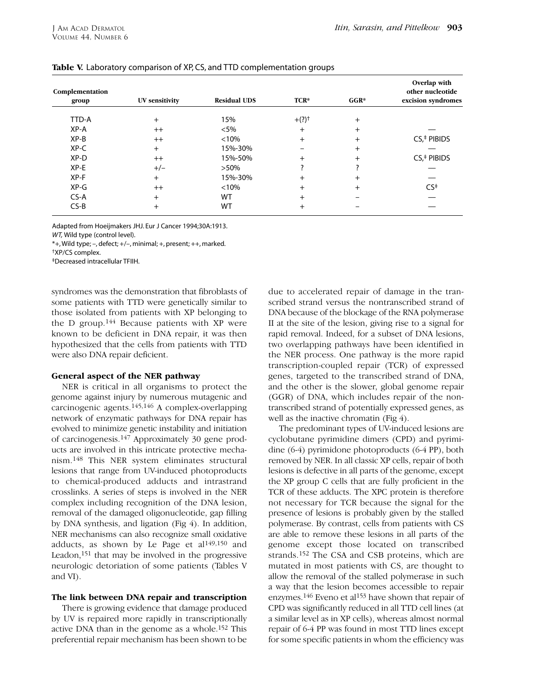| Complementation |                       |                     |          |        | Overlap with<br>other nucleotide |
|-----------------|-----------------------|---------------------|----------|--------|----------------------------------|
| group           | <b>UV</b> sensitivity | <b>Residual UDS</b> | TCR*     | $GGR*$ | excision syndromes               |
| TTD-A           | $^{+}$                | 15%                 | $+(?)^+$ | $+$    |                                  |
| XP-A            | $++$                  | $< 5\%$             | $^{+}$   | $^{+}$ |                                  |
| $XP-B$          | $++$                  | < 10%               | $^{+}$   | $^{+}$ | CS, <sup>‡</sup> PIBIDS          |
| XP-C            | $^{+}$                | 15%-30%             |          | $+$    |                                  |
| XP-D            | $++$                  | 15%-50%             | $^{+}$   | $+$    | CS, <sup>‡</sup> PIBIDS          |
| XP-E            | $+/-$                 | $>50\%$             |          |        |                                  |
| $XP-F$          | $^{+}$                | 15%-30%             | $^{+}$   | $+$    |                                  |
| $XP-G$          | $^{++}$               | < 10%               | $^{+}$   | $+$    | $\mathsf{CS}^*$                  |
| $CS-A$          | $^{+}$                | <b>WT</b>           | $^{+}$   |        |                                  |
| $CS-B$          | $^{+}$                | WT                  | $^{+}$   |        |                                  |

#### Table V. Laboratory comparison of XP, CS, and TTD complementation groups

Adapted from Hoeijmakers JHJ. Eur J Cancer 1994;30A:1913.

*WT,* Wild type (control level).

 $*+$ , Wild type;  $-$ , defect;  $+/-$ , minimal;  $+$ , present;  $++$ , marked.

†XP/CS complex.

‡Decreased intracellular TFIIH.

syndromes was the demonstration that fibroblasts of some patients with TTD were genetically similar to those isolated from patients with XP belonging to the D group.144 Because patients with XP were known to be deficient in DNA repair, it was then hypothesized that the cells from patients with TTD were also DNA repair deficient.

#### **General aspect of the NER pathway**

NER is critical in all organisms to protect the genome against injury by numerous mutagenic and carcinogenic agents.145,146 A complex-overlapping network of enzymatic pathways for DNA repair has evolved to minimize genetic instability and initiation of carcinogenesis.147 Approximately 30 gene products are involved in this intricate protective mechanism.148 This NER system eliminates structural lesions that range from UV-induced photoproducts to chemical-produced adducts and intrastrand crosslinks. A series of steps is involved in the NER complex including recognition of the DNA lesion, removal of the damaged oligonucleotide, gap filling by DNA synthesis, and ligation (Fig 4). In addition, NER mechanisms can also recognize small oxidative adducts, as shown by Le Page et al<sup>149,150</sup> and Leadon,151 that may be involved in the progressive neurologic detoriation of some patients (Tables V and VI).

#### **The link between DNA repair and transcription**

There is growing evidence that damage produced by UV is repaired more rapidly in transcriptionally active DNA than in the genome as a whole.152 This preferential repair mechanism has been shown to be

due to accelerated repair of damage in the transcribed strand versus the nontranscribed strand of DNA because of the blockage of the RNA polymerase II at the site of the lesion, giving rise to a signal for rapid removal. Indeed, for a subset of DNA lesions, two overlapping pathways have been identified in the NER process. One pathway is the more rapid transcription-coupled repair (TCR) of expressed genes, targeted to the transcribed strand of DNA, and the other is the slower, global genome repair (GGR) of DNA, which includes repair of the nontranscribed strand of potentially expressed genes, as well as the inactive chromatin (Fig 4).

The predominant types of UV-induced lesions are cyclobutane pyrimidine dimers (CPD) and pyrimidine (6-4) pyrimidone photoproducts (6-4 PP), both removed by NER. In all classic XP cells, repair of both lesions is defective in all parts of the genome, except the XP group C cells that are fully proficient in the TCR of these adducts. The XPC protein is therefore not necessary for TCR because the signal for the presence of lesions is probably given by the stalled polymerase. By contrast, cells from patients with CS are able to remove these lesions in all parts of the genome except those located on transcribed strands.152 The CSA and CSB proteins, which are mutated in most patients with CS, are thought to allow the removal of the stalled polymerase in such a way that the lesion becomes accessible to repair enzymes.<sup>146</sup> Eveno et al<sup>153</sup> have shown that repair of CPD was significantly reduced in all TTD cell lines (at a similar level as in XP cells), whereas almost normal repair of 6-4 PP was found in most TTD lines except for some specific patients in whom the efficiency was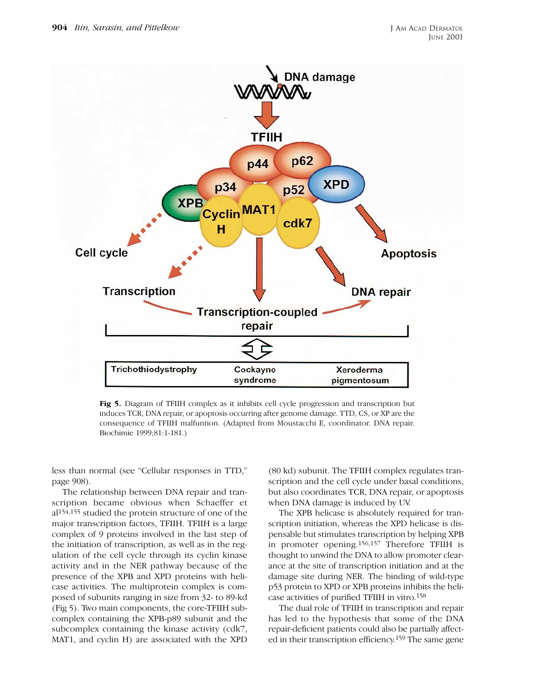

**Fig 5.** Diagram of TFIIH complex as it inhibits cell cycle progression and transcription but induces TCR, DNA repair, or apoptosis occurring after genome damage. TTD, CS, or XP are the consequence of TFIIH malfuntion. (Adapted from Moustacchi E, coordinator. DNA repair. Biochimie 1999;81:1-181.)

less than normal (see "Cellular responses in TTD," page 908).

The relationship between DNA repair and transcription became obvious when Schaeffer et al154,155 studied the protein structure of one of the major transcription factors, TFIIH. TFIIH is a large complex of 9 proteins involved in the last step of the initiation of transcription, as well as in the regulation of the cell cycle through its cyclin kinase activity and in the NER pathway because of the presence of the XPB and XPD proteins with helicase activities. The multiprotein complex is composed of subunits ranging in size from 32- to 89-kd (Fig 5). Two main components, the core-TFIIH subcomplex containing the XPB-p89 subunit and the subcomplex containing the kinase activity (cdk7, MAT1, and cyclin H) are associated with the XPD

(80 kd) subunit. The TFIIH complex regulates transcription and the cell cycle under basal conditions, but also coordinates TCR, DNA repair, or apoptosis when DNA damage is induced by UV.

The XPB helicase is absolutely required for transcription initiation, whereas the XPD helicase is dispensable but stimulates transcription by helping XPB in promoter opening.156,157 Therefore TFIIH is thought to unwind the DNA to allow promoter clearance at the site of transcription initiation and at the damage site during NER. The binding of wild-type p53 protein to XPD or XPB proteins inhibits the helicase activities of purified TFIIH in vitro.158

The dual role of TFIIH in transcription and repair has led to the hypothesis that some of the DNA repair-deficient patients could also be partially affected in their transcription efficiency.159 The same gene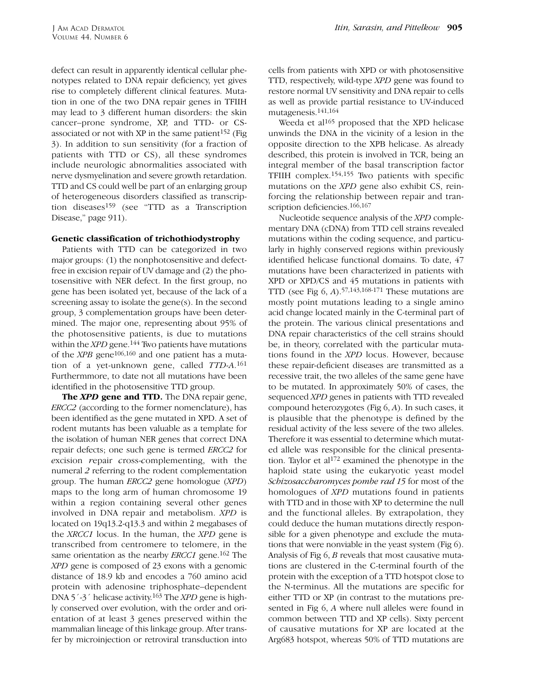defect can result in apparently identical cellular phenotypes related to DNA repair deficiency, yet gives rise to completely different clinical features. Mutation in one of the two DNA repair genes in TFIIH may lead to 3 different human disorders: the skin cancer–prone syndrome, XP, and TTD- or CSassociated or not with XP in the same patient<sup>152</sup> (Fig 3). In addition to sun sensitivity (for a fraction of patients with TTD or CS), all these syndromes include neurologic abnormalities associated with nerve dysmyelination and severe growth retardation. TTD and CS could well be part of an enlarging group of heterogeneous disorders classified as transcription diseases159 (see "TTD as a Transcription Disease," page 911).

#### **Genetic classification of trichothiodystrophy**

Patients with TTD can be categorized in two major groups: (1) the nonphotosensitive and defectfree in excision repair of UV damage and (2) the photosensitive with NER defect. In the first group, no gene has been isolated yet, because of the lack of a screening assay to isolate the gene(s). In the second group, 3 complementation groups have been determined. The major one, representing about 95% of the photosensitive patients, is due to mutations within the *XPD* gene.<sup>144</sup> Two patients have mutations of the *XPB* gene106,160 and one patient has a mutation of a yet-unknown gene, called *TTD-A*.161 Furthermmore, to date not all mutations have been identified in the photosensitive TTD group.

**The** *XPD* **gene and TTD.** The DNA repair gene, *ERCC2* (according to the former nomenclature), has been identified as the gene mutated in XPD. A set of rodent mutants has been valuable as a template for the isolation of human NER genes that correct DNA repair defects; one such gene is termed *ERCC2* for *e*xcision *r*epair *c*ross-*c*omplementing, with the numeral *2* referring to the rodent complementation group. The human *ERCC2* gene homologue (*XPD*) maps to the long arm of human chromosome 19 within a region containing several other genes involved in DNA repair and metabolism. *XPD* is located on 19q13.2-q13.3 and within 2 megabases of the *XRCC1* locus. In the human, the *XPD* gene is transcribed from centromere to telomere, in the same orientation as the nearby *ERCC1* gene.162 The *XPD* gene is composed of 23 exons with a genomic distance of 18.9 kb and encodes a 760 amino acid protein with adenosine triphosphate–dependent DNA 5´-3´ helicase activity.163 The *XPD* gene is highly conserved over evolution, with the order and orientation of at least 3 genes preserved within the mammalian lineage of this linkage group. After transfer by microinjection or retroviral transduction into cells from patients with XPD or with photosensitive TTD, respectively, wild-type *XPD* gene was found to restore normal UV sensitivity and DNA repair to cells as well as provide partial resistance to UV-induced mutagenesis.141,164

Weeda et al<sup>165</sup> proposed that the XPD helicase unwinds the DNA in the vicinity of a lesion in the opposite direction to the XPB helicase. As already described, this protein is involved in TCR, being an integral member of the basal transcription factor TFIIH complex.154,155 Two patients with specific mutations on the *XPD* gene also exhibit CS, reinforcing the relationship between repair and transcription deficiencies.166,167

Nucleotide sequence analysis of the *XPD* complementary DNA (cDNA) from TTD cell strains revealed mutations within the coding sequence, and particularly in highly conserved regions within previously identified helicase functional domains. To date, 47 mutations have been characterized in patients with XPD or XPD/CS and 45 mutations in patients with TTD (see Fig 6, *A*).57,143,168-171 These mutations are mostly point mutations leading to a single amino acid change located mainly in the C-terminal part of the protein. The various clinical presentations and DNA repair characteristics of the cell strains should be, in theory, correlated with the particular mutations found in the *XPD* locus. However, because these repair-deficient diseases are transmitted as a recessive trait, the two alleles of the same gene have to be mutated. In approximately 50% of cases, the sequenced *XPD* genes in patients with TTD revealed compound heterozygotes (Fig 6, *A*). In such cases, it is plausible that the phenotype is defined by the residual activity of the less severe of the two alleles. Therefore it was essential to determine which mutated allele was responsible for the clinical presentation. Taylor et al $172$  examined the phenotype in the haploid state using the eukaryotic yeast model *Schizosaccharomyces pombe rad 15* for most of the homologues of *XPD* mutations found in patients with TTD and in those with XP to determine the null and the functional alleles. By extrapolation, they could deduce the human mutations directly responsible for a given phenotype and exclude the mutations that were nonviable in the yeast system (Fig 6). Analysis of Fig 6, *B* reveals that most causative mutations are clustered in the C-terminal fourth of the protein with the exception of a TTD hotspot close to the N-terminus. All the mutations are specific for either TTD or XP (in contrast to the mutations presented in Fig 6, *A* where null alleles were found in common between TTD and XP cells). Sixty percent of causative mutations for XP are located at the Arg683 hotspot, whereas 50% of TTD mutations are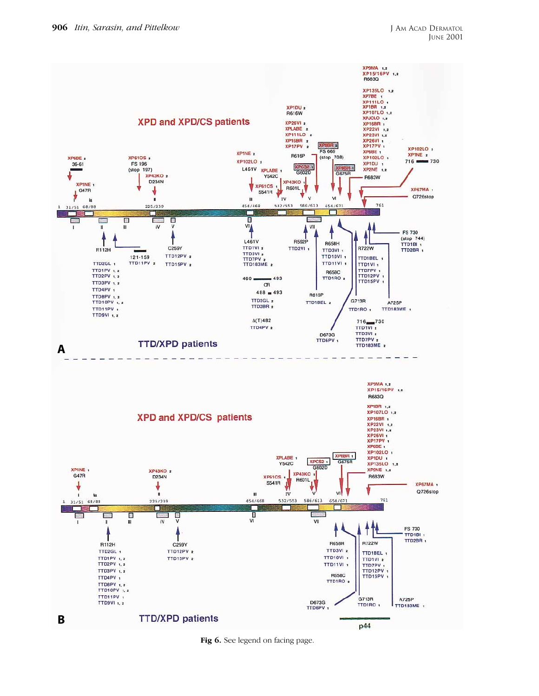

Fig 6. See legend on facing page.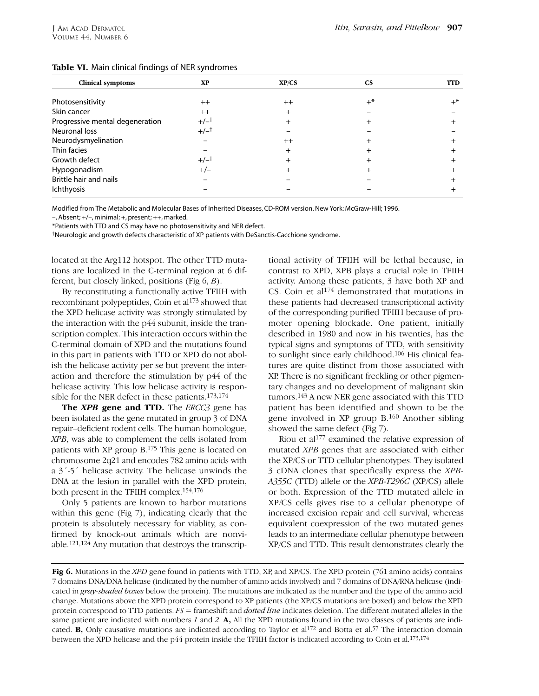| <b>Clinical symptoms</b>        | XР      | XP/CS   | $\mathbf{c}\mathbf{s}$ | <b>TTD</b> |
|---------------------------------|---------|---------|------------------------|------------|
| Photosensitivity                | $^{++}$ | $^{++}$ | $+^*$                  | $+^*$      |
| Skin cancer                     | $++$    |         |                        |            |
|                                 | $+/-†$  | +       |                        |            |
| Progressive mental degeneration |         |         |                        |            |
| Neuronal loss                   | $+/-†$  |         |                        |            |
| Neurodysmyelination             |         | $^{++}$ |                        |            |
| Thin facies                     |         |         |                        |            |
| Growth defect                   | $+/-^+$ |         |                        |            |
| Hypogonadism                    | $+/-$   |         |                        |            |
| <b>Brittle hair and nails</b>   |         |         |                        |            |
| Ichthyosis                      |         |         |                        |            |

#### **Table VI.** Main clinical findings of NER syndromes

Modified from The Metabolic and Molecular Bases of Inherited Diseases, CD-ROM version. New York: McGraw-Hill; 1996.

–, Absent; +/–, minimal; +, present; ++, marked.

\*Patients with TTD and CS may have no photosensitivity and NER defect.

†Neurologic and growth defects characteristic of XP patients with DeSanctis-Cacchione syndrome.

located at the Arg112 hotspot. The other TTD mutations are localized in the C-terminal region at 6 different, but closely linked, positions (Fig 6, *B*).

By reconstituting a functionally active TFIIH with recombinant polypeptides, Coin et al173 showed that the XPD helicase activity was strongly stimulated by the interaction with the p44 subunit, inside the transcription complex. This interaction occurs within the C-terminal domain of XPD and the mutations found in this part in patients with TTD or XPD do not abolish the helicase activity per se but prevent the interaction and therefore the stimulation by p44 of the helicase activity. This low helicase activity is responsible for the NER defect in these patients.173,174

**The** *XPB* **gene and TTD.** The *ERCC3* gene has been isolated as the gene mutated in group 3 of DNA repair–deficient rodent cells. The human homologue, *XPB*, was able to complement the cells isolated from patients with XP group B.175 This gene is located on chromosome 2q21 and encodes 782 amino acids with a 3´-5´ helicase activity. The helicase unwinds the DNA at the lesion in parallel with the XPD protein, both present in the TFIIH complex.154,176

Only 5 patients are known to harbor mutations within this gene (Fig 7), indicating clearly that the protein is absolutely necessary for viablity, as confirmed by knock-out animals which are nonviable.121,124 Any mutation that destroys the transcrip-

tional activity of TFIIH will be lethal because, in contrast to XPD, XPB plays a crucial role in TFIIH activity. Among these patients, 3 have both XP and CS. Coin et al174 demonstrated that mutations in these patients had decreased transcriptional activity of the corresponding purified TFIIH because of promoter opening blockade. One patient, initially described in 1980 and now in his twenties, has the typical signs and symptoms of TTD, with sensitivity to sunlight since early childhood.106 His clinical features are quite distinct from those associated with XP. There is no significant freckling or other pigmentary changes and no development of malignant skin tumors.143 A new NER gene associated with this TTD patient has been identified and shown to be the gene involved in XP group B.160 Another sibling showed the same defect (Fig 7).

Riou et al177 examined the relative expression of mutated *XPB* genes that are associated with either the XP/CS or TTD cellular phenotypes. They isolated 3 cDNA clones that specifically express the *XPB-A355C* (TTD) allele or the *XPB-T296C* (XP/CS) allele or both. Expression of the TTD mutated allele in XP/CS cells gives rise to a cellular phenotype of increased excision repair and cell survival, whereas equivalent coexpression of the two mutated genes leads to an intermediate cellular phenotype between XP/CS and TTD. This result demonstrates clearly the

**Fig 6.** Mutations in the *XPD* gene found in patients with TTD, XP, and XP/CS. The XPD protein (761 amino acids) contains 7 domains DNA/DNA helicase (indicated by the number of amino acids involved) and 7 domains of DNA/RNA helicase (indicated in *gray-shaded boxes* below the protein). The mutations are indicated as the number and the type of the amino acid change. Mutations above the XPD protein correspond to XP patients (the XP/CS mutations are boxed) and below the XPD protein correspond to TTD patients. *FS* = frameshift and *dotted line* indicates deletion. The different mutated alleles in the same patient are indicated with numbers *1* and *2*. **A,** All the XPD mutations found in the two classes of patients are indicated. **B,** Only causative mutations are indicated according to Taylor et al172 and Botta et al.57 The interaction domain between the XPD helicase and the p44 protein inside the TFIIH factor is indicated according to Coin et al.<sup>173,174</sup>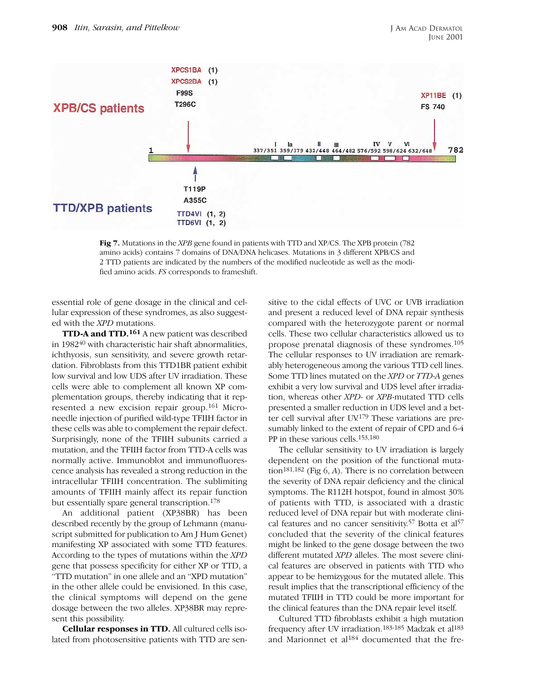

**Fig 7.** Mutations in the *XPB* gene found in patients with TTD and XP/CS. The XPB protein (782 amino acids) contains 7 domains of DNA/DNA helicases. Mutations in 3 different XPB/CS and 2 TTD patients are indicated by the numbers of the modified nucleotide as well as the modified amino acids. *FS* corresponds to frameshift.

essential role of gene dosage in the clinical and cellular expression of these syndromes, as also suggested with the *XPD* mutations.

**TTD-A and TTD.161** A new patient was described in 198240 with characteristic hair shaft abnormalities, ichthyosis, sun sensitivity, and severe growth retardation. Fibroblasts from this TTD1BR patient exhibit low survival and low UDS after UV irradiation. These cells were able to complement all known XP complementation groups, thereby indicating that it represented a new excision repair group.161 Microneedle injection of purified wild-type TFIIH factor in these cells was able to complement the repair defect. Surprisingly, none of the TFIIH subunits carried a mutation, and the TFIIH factor from TTD-A cells was normally active. Immunoblot and immunofluorescence analysis has revealed a strong reduction in the intracellular TFIIH concentration. The sublimiting amounts of TFIIH mainly affect its repair function but essentially spare general transcription.178

An additional patient (XP38BR) has been described recently by the group of Lehmann (manuscript submitted for publication to Am J Hum Genet) manifesting XP associated with some TTD features. According to the types of mutations within the *XPD* gene that possess specificity for either XP or TTD, a "TTD mutation" in one allele and an "XPD mutation" in the other allele could be envisioned. In this case, the clinical symptoms will depend on the gene dosage between the two alleles. XP38BR may represent this possibility.

**Cellular responses in TTD.** All cultured cells isolated from photosensitive patients with TTD are sensitive to the cidal effects of UVC or UVB irradiation and present a reduced level of DNA repair synthesis compared with the heterozygote parent or normal cells. These two cellular characteristics allowed us to propose prenatal diagnosis of these syndromes.105 The cellular responses to UV irradiation are remarkably heterogeneous among the various TTD cell lines. Some TTD lines mutated on the *XPD* or *TTD-A* genes exhibit a very low survival and UDS level after irradiation, whereas other *XPD*- or *XPB*-mutated TTD cells presented a smaller reduction in UDS level and a better cell survival after UV.179 These variations are presumably linked to the extent of repair of CPD and 6-4 PP in these various cells.153,180

The cellular sensitivity to UV irradiation is largely dependent on the position of the functional mutation181,182 (Fig 6, *A*). There is no correlation between the severity of DNA repair deficiency and the clinical symptoms. The R112H hotspot, found in almost 30% of patients with TTD, is associated with a drastic reduced level of DNA repair but with moderate clinical features and no cancer sensitivity.<sup>57</sup> Botta et al<sup>57</sup> concluded that the severity of the clinical features might be linked to the gene dosage between the two different mutated *XPD* alleles. The most severe clinical features are observed in patients with TTD who appear to be hemizygous for the mutated allele. This result implies that the transcriptional efficiency of the mutated TFIIH in TTD could be more important for the clinical features than the DNA repair level itself.

Cultured TTD fibroblasts exhibit a high mutation frequency after UV irradiation.183-185 Madzak et al183 and Marionnet et al184 documented that the fre-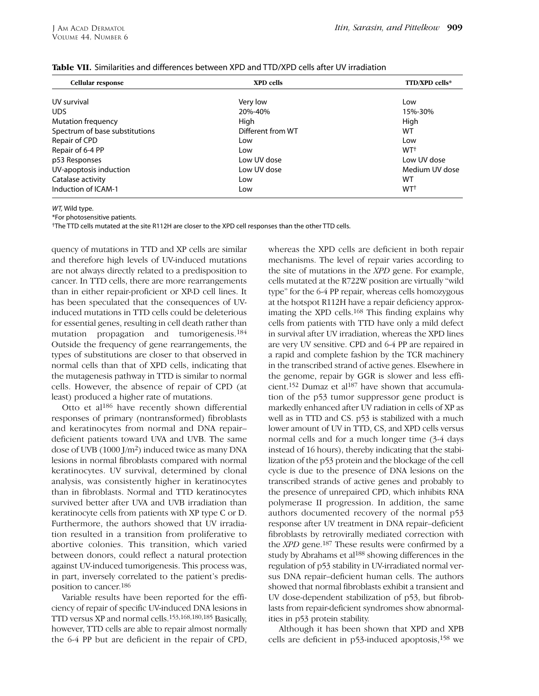| Cellular response              | <b>XPD</b> cells  | TTD/XPD cells*  |  |
|--------------------------------|-------------------|-----------------|--|
| UV survival                    | Very low          | Low             |  |
| <b>UDS</b>                     | 20%-40%           | 15%-30%         |  |
| Mutation frequency             | High              | High            |  |
| Spectrum of base substitutions | Different from WT | WT              |  |
| Repair of CPD                  | Low               | Low             |  |
| Repair of 6-4 PP               | Low               | WT <sup>+</sup> |  |
| p53 Responses                  | Low UV dose       | Low UV dose     |  |
| UV-apoptosis induction         | Low UV dose       | Medium UV dose  |  |
| Catalase activity              | Low               | WT              |  |
| Induction of ICAM-1            | Low               | WT <sup>+</sup> |  |

|  | Table VII. Similarities and differences between XPD and TTD/XPD cells after UV irradiation |  |  |  |  |  |  |
|--|--------------------------------------------------------------------------------------------|--|--|--|--|--|--|
|--|--------------------------------------------------------------------------------------------|--|--|--|--|--|--|

*WT,* Wild type.

\*For photosensitive patients.

†The TTD cells mutated at the site R112H are closer to the XPD cell responses than the other TTD cells.

quency of mutations in TTD and XP cells are similar and therefore high levels of UV-induced mutations are not always directly related to a predisposition to cancer. In TTD cells, there are more rearrangements than in either repair-proficient or XP-D cell lines. It has been speculated that the consequences of UVinduced mutations in TTD cells could be deleterious for essential genes, resulting in cell death rather than mutation propagation and tumorigenesis.184 Outside the frequency of gene rearrangements, the types of substitutions are closer to that observed in normal cells than that of XPD cells, indicating that the mutagenesis pathway in TTD is similar to normal cells. However, the absence of repair of CPD (at least) produced a higher rate of mutations.

Otto et al186 have recently shown differential responses of primary (nontransformed) fibroblasts and keratinocytes from normal and DNA repair– deficient patients toward UVA and UVB. The same dose of UVB (1000 J/m2) induced twice as many DNA lesions in normal fibroblasts compared with normal keratinocytes. UV survival, determined by clonal analysis, was consistently higher in keratinocytes than in fibroblasts. Normal and TTD keratinocytes survived better after UVA and UVB irradiation than keratinocyte cells from patients with XP type C or D. Furthermore, the authors showed that UV irradiation resulted in a transition from proliferative to abortive colonies. This transition, which varied between donors, could reflect a natural protection against UV-induced tumorigenesis. This process was, in part, inversely correlated to the patient's predisposition to cancer.186

Variable results have been reported for the efficiency of repair of specific UV-induced DNA lesions in TTD versus XP and normal cells.153,168,180,185 Basically, however, TTD cells are able to repair almost normally the 6-4 PP but are deficient in the repair of CPD,

whereas the XPD cells are deficient in both repair mechanisms. The level of repair varies according to the site of mutations in the *XPD* gene. For example, cells mutated at the R722W position are virtually "wild type" for the 6-4 PP repair, whereas cells homozygous at the hotspot R112H have a repair deficiency approximating the XPD cells.168 This finding explains why cells from patients with TTD have only a mild defect in survival after UV irradiation, whereas the XPD lines are very UV sensitive. CPD and 6-4 PP are repaired in a rapid and complete fashion by the TCR machinery in the transcribed strand of active genes. Elsewhere in the genome, repair by GGR is slower and less efficient.<sup>152</sup> Dumaz et al<sup>187</sup> have shown that accumulation of the p53 tumor suppressor gene product is markedly enhanced after UV radiation in cells of XP as well as in TTD and CS. p53 is stabilized with a much lower amount of UV in TTD, CS, and XPD cells versus normal cells and for a much longer time (3-4 days instead of 16 hours), thereby indicating that the stabilization of the p53 protein and the blockage of the cell cycle is due to the presence of DNA lesions on the transcribed strands of active genes and probably to the presence of unrepaired CPD, which inhibits RNA polymerase II progression. In addition, the same authors documented recovery of the normal p53 response after UV treatment in DNA repair–deficient fibroblasts by retrovirally mediated correction with the *XPD* gene.187 These results were confirmed by a study by Abrahams et al<sup>188</sup> showing differences in the regulation of p53 stability in UV-irradiated normal versus DNA repair–deficient human cells. The authors showed that normal fibroblasts exhibit a transient and UV dose-dependent stabilization of p53, but fibroblasts from repair-deficient syndromes show abnormalities in p53 protein stability.

Although it has been shown that XPD and XPB cells are deficient in p53-induced apoptosis,158 we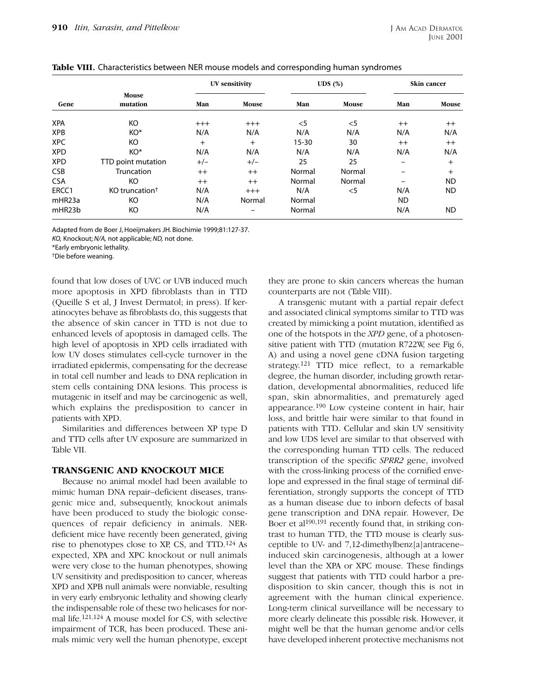| Gene       | Mouse<br>mutation            | <b>UV</b> sensitivity |          | UDS(%)    |        | Skin cancer |           |
|------------|------------------------------|-----------------------|----------|-----------|--------|-------------|-----------|
|            |                              | Man                   | Mouse    | Man       | Mouse  | Man         | Mouse     |
| <b>XPA</b> | KO                           | $^{+++}$              | $^{+++}$ | $<$ 5     | $<$ 5  | $^{++}$     | $^{++}$   |
| <b>XPB</b> | KO*                          | N/A                   | N/A      | N/A       | N/A    | N/A         | N/A       |
| <b>XPC</b> | KO                           | $^{+}$                | $^{+}$   | $15 - 30$ | 30     | $++$        | $^{++}$   |
| <b>XPD</b> | KO*                          | N/A                   | N/A      | N/A       | N/A    | N/A         | N/A       |
| <b>XPD</b> | TTD point mutation           | $+/-$                 | $+/-$    | 25        | 25     |             | $^{+}$    |
| <b>CSB</b> | Truncation                   | $++$                  | $++$     | Normal    | Normal |             | $+$       |
| <b>CSA</b> | KO                           | $++$                  | $++$     | Normal    | Normal |             | <b>ND</b> |
| ERCC1      | $KO$ truncation <sup>†</sup> | N/A                   | $^{+++}$ | N/A       | $<$ 5  | N/A         | ND.       |
| mHR23a     | KO                           | N/A                   | Normal   | Normal    |        | <b>ND</b>   |           |
| mHR23b     | KO                           | N/A                   | -        | Normal    |        | N/A         | ND.       |

| <b>Table VIII.</b> Characteristics between NER mouse models and corresponding human syndromes |  |  |  |  |
|-----------------------------------------------------------------------------------------------|--|--|--|--|
|                                                                                               |  |  |  |  |

Adapted from de Boer J, Hoeijmakers JH. Biochimie 1999;81:127-37.

*KO,* Knockout; *N/A,* not applicable; *ND,* not done.

\*Early embryonic lethality.

†Die before weaning.

found that low doses of UVC or UVB induced much more apoptosis in XPD fibroblasts than in TTD (Queille S et al, J Invest Dermatol; in press). If keratinocytes behave as fibroblasts do, this suggests that the absence of skin cancer in TTD is not due to enhanced levels of apoptosis in damaged cells. The high level of apoptosis in XPD cells irradiated with low UV doses stimulates cell-cycle turnover in the irradiated epidermis, compensating for the decrease in total cell number and leads to DNA replication in stem cells containing DNA lesions. This process is mutagenic in itself and may be carcinogenic as well, which explains the predisposition to cancer in patients with XPD.

Similarities and differences between XP type D and TTD cells after UV exposure are summarized in Table VII.

#### **TRANSGENIC AND KNOCKOUT MICE**

Because no animal model had been available to mimic human DNA repair–deficient diseases, transgenic mice and, subsequently, knockout animals have been produced to study the biologic consequences of repair deficiency in animals. NERdeficient mice have recently been generated, giving rise to phenotypes close to XP, CS, and TTD.124 As expected, XPA and XPC knockout or null animals were very close to the human phenotypes, showing UV sensitivity and predisposition to cancer, whereas XPD and XPB null animals were nonviable, resulting in very early embryonic lethality and showing clearly the indispensable role of these two helicases for normal life.121,124 A mouse model for CS, with selective impairment of TCR, has been produced. These animals mimic very well the human phenotype, except they are prone to skin cancers whereas the human counterparts are not (Table VIII).

A transgenic mutant with a partial repair defect and associated clinical symptoms similar to TTD was created by mimicking a point mutation, identified as one of the hotspots in the *XPD* gene, of a photosensitive patient with TTD (mutation R722W, see Fig 6, A) and using a novel gene cDNA fusion targeting strategy.121 TTD mice reflect, to a remarkable degree, the human disorder, including growth retardation, developmental abnormalities, reduced life span, skin abnormalities, and prematurely aged appearance.190 Low cysteine content in hair, hair loss, and brittle hair were similar to that found in patients with TTD. Cellular and skin UV sensitivity and low UDS level are similar to that observed with the corresponding human TTD cells. The reduced transcription of the specific *SPRR2* gene, involved with the cross-linking process of the cornified envelope and expressed in the final stage of terminal differentiation, strongly supports the concept of TTD as a human disease due to inborn defects of basal gene transcription and DNA repair. However, De Boer et al<sup>190,191</sup> recently found that, in striking contrast to human TTD, the TTD mouse is clearly susceptible to UV- and 7,12-dimethylbenz[a]antracene– induced skin carcinogenesis, although at a lower level than the XPA or XPC mouse. These findings suggest that patients with TTD could harbor a predisposition to skin cancer, though this is not in agreement with the human clinical experience. Long-term clinical surveillance will be necessary to more clearly delineate this possible risk. However, it might well be that the human genome and/or cells have developed inherent protective mechanisms not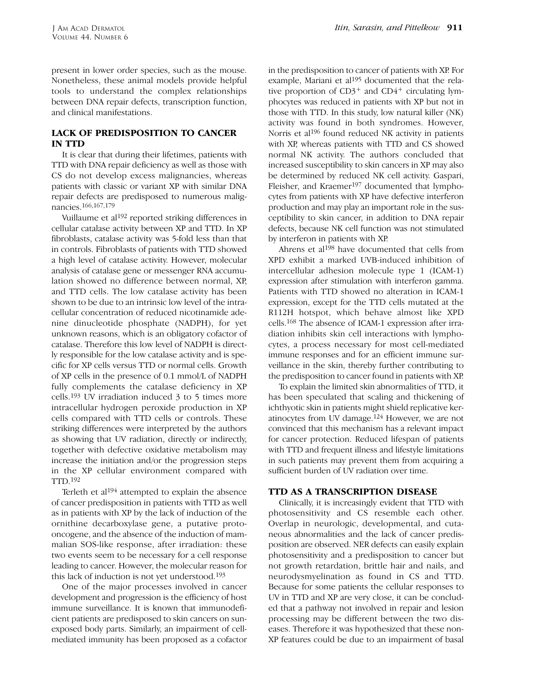present in lower order species, such as the mouse. Nonetheless, these animal models provide helpful tools to understand the complex relationships between DNA repair defects, transcription function, and clinical manifestations.

#### **LACK OF PREDISPOSITION TO CANCER IN TTD**

It is clear that during their lifetimes, patients with TTD with DNA repair deficiency as well as those with CS do not develop excess malignancies, whereas patients with classic or variant XP with similar DNA repair defects are predisposed to numerous malignancies.166,167,179

Vuillaume et al<sup>192</sup> reported striking differences in cellular catalase activity between XP and TTD. In XP fibroblasts, catalase activity was 5-fold less than that in controls. Fibroblasts of patients with TTD showed a high level of catalase activity. However, molecular analysis of catalase gene or messenger RNA accumulation showed no difference between normal, XP, and TTD cells. The low catalase activity has been shown to be due to an intrinsic low level of the intracellular concentration of reduced nicotinamide adenine dinucleotide phosphate (NADPH), for yet unknown reasons, which is an obligatory cofactor of catalase. Therefore this low level of NADPH is directly responsible for the low catalase activity and is specific for XP cells versus TTD or normal cells. Growth of XP cells in the presence of 0.1 mmol/L of NADPH fully complements the catalase deficiency in XP cells.193 UV irradiation induced 3 to 5 times more intracellular hydrogen peroxide production in XP cells compared with TTD cells or controls. These striking differences were interpreted by the authors as showing that UV radiation, directly or indirectly, together with defective oxidative metabolism may increase the initiation and/or the progression steps in the XP cellular environment compared with TTD.192

Terleth et al<sup>194</sup> attempted to explain the absence of cancer predisposition in patients with TTD as well as in patients with XP by the lack of induction of the ornithine decarboxylase gene, a putative protooncogene, and the absence of the induction of mammalian SOS-like response, after irradiation: these two events seem to be necessary for a cell response leading to cancer. However, the molecular reason for this lack of induction is not yet understood.193

One of the major processes involved in cancer development and progression is the efficiency of host immune surveillance. It is known that immunodeficient patients are predisposed to skin cancers on sunexposed body parts. Similarly, an impairment of cellmediated immunity has been proposed as a cofactor in the predisposition to cancer of patients with XP. For example, Mariani et al<sup>195</sup> documented that the relative proportion of CD3+ and CD4+ circulating lymphocytes was reduced in patients with XP but not in those with TTD. In this study, low natural killer (NK) activity was found in both syndromes. However, Norris et al196 found reduced NK activity in patients with XP, whereas patients with TTD and CS showed normal NK activity. The authors concluded that increased susceptibility to skin cancers in XP may also be determined by reduced NK cell activity. Gaspari, Fleisher, and Kraemer<sup>197</sup> documented that lymphocytes from patients with XP have defective interferon production and may play an important role in the susceptibility to skin cancer, in addition to DNA repair defects, because NK cell function was not stimulated by interferon in patients with XP.

Ahrens et al198 have documented that cells from XPD exhibit a marked UVB-induced inhibition of intercellular adhesion molecule type 1 (ICAM-1) expression after stimulation with interferon gamma. Patients with TTD showed no alteration in ICAM-1 expression, except for the TTD cells mutated at the R112H hotspot, which behave almost like XPD cells.168 The absence of ICAM-1 expression after irradiation inhibits skin cell interactions with lymphocytes, a process necessary for most cell-mediated immune responses and for an efficient immune surveillance in the skin, thereby further contributing to the predisposition to cancer found in patients with XP.

To explain the limited skin abnormalities of TTD, it has been speculated that scaling and thickening of ichthyotic skin in patients might shield replicative keratinocytes from UV damage.124 However, we are not convinced that this mechanism has a relevant impact for cancer protection. Reduced lifespan of patients with TTD and frequent illness and lifestyle limitations in such patients may prevent them from acquiring a sufficient burden of UV radiation over time.

## **TTD AS A TRANSCRIPTION DISEASE**

Clinically, it is increasingly evident that TTD with photosensitivity and CS resemble each other. Overlap in neurologic, developmental, and cutaneous abnormalities and the lack of cancer predisposition are observed. NER defects can easily explain photosensitivity and a predisposition to cancer but not growth retardation, brittle hair and nails, and neurodysmyelination as found in CS and TTD. Because for some patients the cellular responses to UV in TTD and XP are very close, it can be concluded that a pathway not involved in repair and lesion processing may be different between the two diseases. Therefore it was hypothesized that these non-XP features could be due to an impairment of basal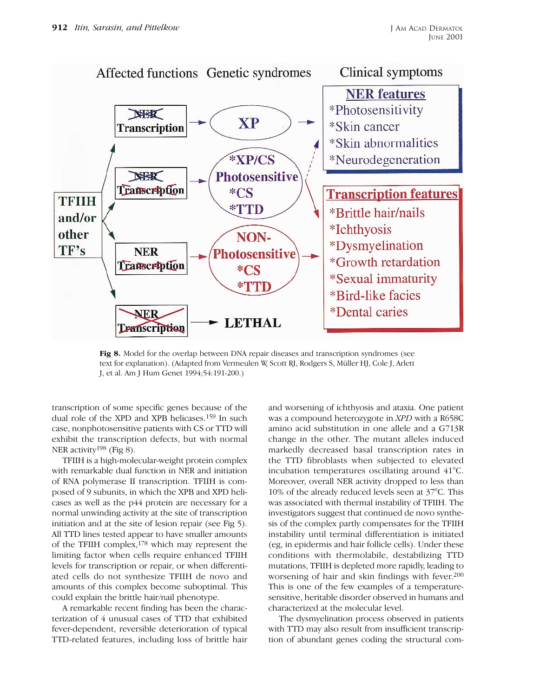

Fig 8. Model for the overlap between DNA repair diseases and transcription syndromes (see text for explanation). (Adapted from Vermeulen W, Scott RJ, Rodgers S, Müller HJ, Cole J, Arlett J, et al. Am J Hum Genet 1994;54:191-200.)

transcription of some specific genes because of the dual role of the XPD and XPB helicases.159 In such case, nonphotosensitive patients with CS or TTD will exhibit the transcription defects, but with normal NER activity<sup>198</sup> (Fig 8).

TFIIH is a high-molecular-weight protein complex with remarkable dual function in NER and initiation of RNA polymerase II transcription. TFIIH is composed of 9 subunits, in which the XPB and XPD helicases as well as the p44 protein are necessary for a normal unwinding activity at the site of transcription initiation and at the site of lesion repair (see Fig 5). All TTD lines tested appear to have smaller amounts of the TFIIH complex,178 which may represent the limiting factor when cells require enhanced TFIIH levels for transcription or repair, or when differentiated cells do not synthesize TFIIH de novo and amounts of this complex become suboptimal. This could explain the brittle hair/nail phenotype.

A remarkable recent finding has been the characterization of 4 unusual cases of TTD that exhibited fever-dependent, reversible deterioration of typical TTD-related features, including loss of brittle hair

and worsening of ichthyosis and ataxia. One patient was a compound heterozygote in *XPD* with a R658C amino acid substitution in one allele and a G713R change in the other. The mutant alleles induced markedly decreased basal transcription rates in the TTD fibroblasts when subjected to elevated incubation temperatures oscillating around 41°C. Moreover, overall NER activity dropped to less than 10% of the already reduced levels seen at 37°C. This was associated with thermal instability of TFIIH. The investigators suggest that continued de novo synthesis of the complex partly compensates for the TFIIH instability until terminal differentiation is initiated (eg, in epidermis and hair follicle cells). Under these conditions with thermolabile, destabilizing TTD mutations, TFIIH is depleted more rapidly, leading to worsening of hair and skin findings with fever.200 This is one of the few examples of a temperaturesensitive, heritable disorder observed in humans and characterized at the molecular level.

The dysmyelination process observed in patients with TTD may also result from insufficient transcription of abundant genes coding the structural com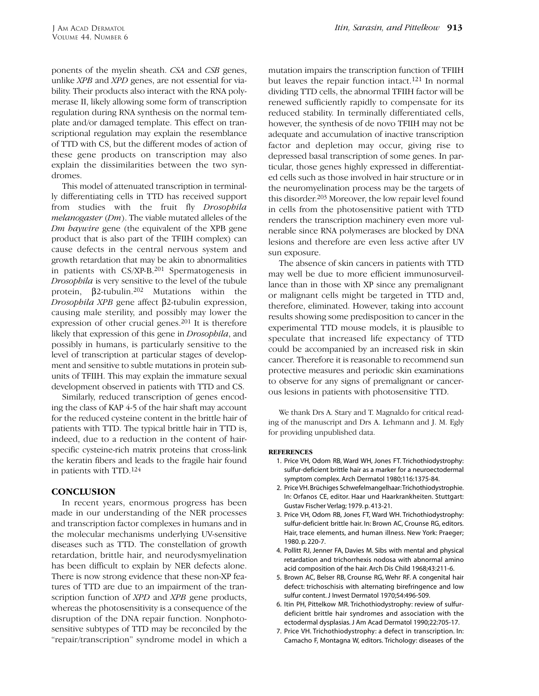ponents of the myelin sheath. *CSA* and *CSB* genes, unlike *XPB* and *XPD* genes, are not essential for viability. Their products also interact with the RNA polymerase II, likely allowing some form of transcription regulation during RNA synthesis on the normal template and/or damaged template. This effect on transcriptional regulation may explain the resemblance of TTD with CS, but the different modes of action of these gene products on transcription may also explain the dissimilarities between the two syndromes.

This model of attenuated transcription in terminally differentiating cells in TTD has received support from studies with the fruit fly *Drosophila melanogaster* (*Dm*). The viable mutated alleles of the *Dm haywire* gene (the equivalent of the XPB gene product that is also part of the TFIIH complex) can cause defects in the central nervous system and growth retardation that may be akin to abnormalities in patients with CS/XP-B.201 Spermatogenesis in *Drosophila* is very sensitive to the level of the tubule protein, β2-tubulin.202 Mutations within the *Drosophila XPB* gene affect β2-tubulin expression, causing male sterility, and possibly may lower the expression of other crucial genes.201 It is therefore likely that expression of this gene in *Drosophila*, and possibly in humans, is particularly sensitive to the level of transcription at particular stages of development and sensitive to subtle mutations in protein subunits of TFIIH. This may explain the immature sexual development observed in patients with TTD and CS.

Similarly, reduced transcription of genes encoding the class of KAP 4-5 of the hair shaft may account for the reduced cysteine content in the brittle hair of patients with TTD. The typical brittle hair in TTD is, indeed, due to a reduction in the content of hairspecific cysteine-rich matrix proteins that cross-link the keratin fibers and leads to the fragile hair found in patients with TTD.124

#### **CONCLUSION**

In recent years, enormous progress has been made in our understanding of the NER processes and transcription factor complexes in humans and in the molecular mechanisms underlying UV-sensitive diseases such as TTD. The constellation of growth retardation, brittle hair, and neurodysmyelination has been difficult to explain by NER defects alone. There is now strong evidence that these non-XP features of TTD are due to an impairment of the transcription function of *XPD* and *XPB* gene products, whereas the photosensitivity is a consequence of the disruption of the DNA repair function. Nonphotosensitive subtypes of TTD may be reconciled by the "repair/transcription" syndrome model in which a

mutation impairs the transcription function of TFIIH but leaves the repair function intact.<sup>121</sup> In normal dividing TTD cells, the abnormal TFIIH factor will be renewed sufficiently rapidly to compensate for its reduced stability. In terminally differentiated cells, however, the synthesis of de novo TFIIH may not be adequate and accumulation of inactive transcription factor and depletion may occur, giving rise to depressed basal transcription of some genes. In particular, those genes highly expressed in differentiated cells such as those involved in hair structure or in the neuromyelination process may be the targets of this disorder.203 Moreover, the low repair level found in cells from the photosensitive patient with TTD renders the transcription machinery even more vulnerable since RNA polymerases are blocked by DNA lesions and therefore are even less active after UV sun exposure.

The absence of skin cancers in patients with TTD may well be due to more efficient immunosurveillance than in those with XP since any premalignant or malignant cells might be targeted in TTD and, therefore, eliminated. However, taking into account results showing some predisposition to cancer in the experimental TTD mouse models, it is plausible to speculate that increased life expectancy of TTD could be accompanied by an increased risk in skin cancer. Therefore it is reasonable to recommend sun protective measures and periodic skin examinations to observe for any signs of premalignant or cancerous lesions in patients with photosensitive TTD.

We thank Drs A. Stary and T. Magnaldo for critical reading of the manuscript and Drs A. Lehmann and J. M. Egly for providing unpublished data.

#### **REFERENCES**

- 1. Price VH, Odom RB, Ward WH, Jones FT. Trichothiodystrophy: sulfur-deficient brittle hair as a marker for a neuroectodermal symptom complex. Arch Dermatol 1980;116:1375-84.
- 2. Price VH. Brüchiges Schwefelmangelhaar:Trichothiodystrophie. In: Orfanos CE, editor. Haar und Haarkrankheiten. Stuttgart: Gustav Fischer Verlag; 1979. p. 413-21.
- 3. Price VH, Odom RB, Jones FT, Ward WH. Trichothiodystrophy: sulfur-deficient brittle hair. In: Brown AC, Crounse RG, editors. Hair, trace elements, and human illness. New York: Praeger; 1980. p. 220-7.
- 4. Pollitt RJ, Jenner FA, Davies M. Sibs with mental and physical retardation and trichorrhexis nodosa with abnormal amino acid composition of the hair. Arch Dis Child 1968;43:211-6.
- 5. Brown AC, Belser RB, Crounse RG, Wehr RF. A congenital hair defect: trichoschisis with alternating birefringence and low sulfur content. J Invest Dermatol 1970;54:496-509.
- 6. Itin PH, Pittelkow MR. Trichothiodystrophy: review of sulfurdeficient brittle hair syndromes and association with the ectodermal dysplasias. J Am Acad Dermatol 1990;22:705-17.
- 7. Price VH. Trichothiodystrophy: a defect in transcription. In: Camacho F, Montagna W, editors. Trichology: diseases of the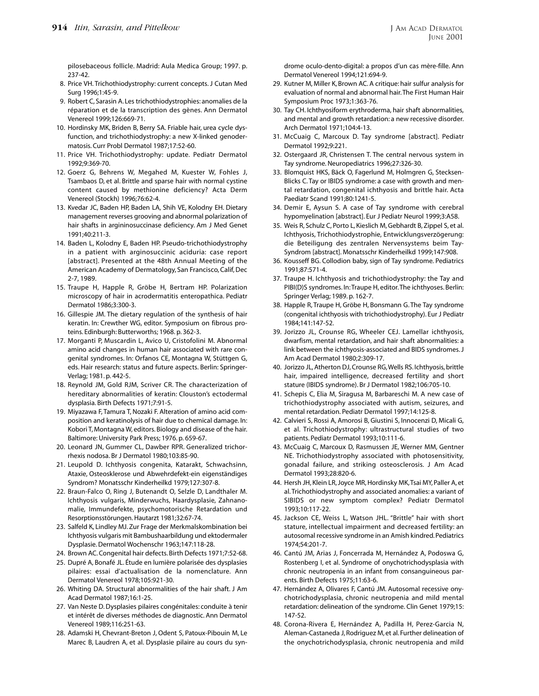pilosebaceous follicle. Madrid: Aula Medica Group; 1997. p. 237-42.

- 8. Price VH. Trichothiodystrophy: current concepts. J Cutan Med Surg 1996;1:45-9.
- 9. Robert C, Sarasin A. Les trichothiodystrophies: anomalies de la réparation et de la transcription des gènes. Ann Dermatol Venereol 1999;126:669-71.
- 10. Hordinsky MK, Briden B, Berry SA. Friable hair, urea cycle dysfunction, and trichothiodystrophy: a new X-linked genodermatosis. Curr Probl Dermatol 1987;17:52-60.
- 11. Price VH. Trichothiodystrophy: update. Pediatr Dermatol 1992;9:369-70.
- 12. Goerz G, Behrens W, Megahed M, Kuester W, Fohles J, Tsambaos D, et al. Brittle and sparse hair with normal cystine content caused by methionine deficiency? Acta Derm Venereol (Stockh) 1996;76:62-4.
- 13. Kvedar JC, Baden HP, Baden LA, Shih VE, Kolodny EH. Dietary management reverses grooving and abnormal polarization of hair shafts in argininosuccinase deficiency. Am J Med Genet 1991;40:211-3.
- 14. Baden L, Kolodny E, Baden HP. Pseudo-trichothiodystrophy in a patient with arginosuccinic aciduria: case report [abstract]. Presented at the 48th Annual Meeting of the American Academy of Dermatology, San Francisco, Calif, Dec 2-7, 1989.
- 15. Traupe H, Happle R, Gröbe H, Bertram HP. Polarization microscopy of hair in acrodermatitis enteropathica. Pediatr Dermatol 1986;3:300-3.
- 16. Gillespie JM. The dietary regulation of the synthesis of hair keratin. In: Crewther WG, editor. Symposium on fibrous proteins. Edinburgh: Butterworths; 1968. p. 362-3.
- 17. Morganti P, Muscardin L, Avico U, Cristofolini M. Abnormal amino acid changes in human hair associated with rare congenital syndromes. In: Orfanos CE, Montagna W, Stüttgen G, eds. Hair research: status and future aspects. Berlin: Springer-Verlag; 1981. p. 442-5.
- 18. Reynold JM, Gold RJM, Scriver CR. The characterization of hereditary abnormalities of keratin: Clouston's ectodermal dysplasia. Birth Defects 1971;7:91-5.
- 19. Miyazawa F, Tamura T, Nozaki F. Alteration of amino acid composition and keratinolysis of hair due to chemical damage. In: Kobori T, Montagna W, editors. Biology and disease of the hair. Baltimore: University Park Press; 1976. p. 659-67.
- 20. Leonard JN, Gummer CL, Dawber RPR. Generalized trichorrhexis nodosa. Br J Dermatol 1980;103:85-90.
- 21. Leupold D. Ichthyosis congenita, Katarakt, Schwachsinn, Ataxie, Osteosklerose und Abwehrdefekt-ein eigenständiges Syndrom? Monatsschr Kinderheilkd 1979;127:307-8.
- 22. Braun-Falco O, Ring J, Butenandt O, Selzle D, Landthaler M. Ichthyosis vulgaris, Minderwuchs, Haardysplasie, Zahnanomalie, Immundefekte, psychomotorische Retardation und Resorptionsstörungen. Hautarzt 1981;32:67-74.
- 23. Salfeld K, Lindley MJ. Zur Frage der Merkmalskombination bei Ichthyosis vulgaris mit Bambushaarbildung und ektodermaler Dysplasie. Dermatol Wochenschr 1963;147:118-28.
- 24. Brown AC. Congenital hair defects. Birth Defects 1971;7:52-68.
- 25. Dupré A, Bonafé JL. Étude en lumière polarisée des dysplasies pilaires: essai d'actualisation de la nomenclature. Ann Dermatol Venereol 1978;105:921-30.
- 26. Whiting DA. Structural abnormalities of the hair shaft. J Am Acad Dermatol 1987;16:1-25.
- 27. Van Neste D. Dysplasies pilaires congénitales: conduite à tenir et intérêt de diverses méthodes de diagnostic. Ann Dermatol Venereol 1989;116:251-63.
- 28. Adamski H, Chevrant-Breton J, Odent S, Patoux-Pibouin M, Le Marec B, Laudren A, et al. Dysplasie pilaire au cours du syn-

drome oculo-dento-digital: a propos d'un cas mère-fille. Ann Dermatol Venereol 1994;121:694-9.

- 29. Kutner M, Miller K, Brown AC. A critique: hair sulfur analysis for evaluation of normal and abnormal hair.The First Human Hair Symposium Proc 1973;1:363-76.
- 30. Tay CH. Ichthyosiform erythroderma, hair shaft abnormalities, and mental and growth retardation: a new recessive disorder. Arch Dermatol 1971;104:4-13.
- 31. McCuaig C, Marcoux D. Tay syndrome [abstract]. Pediatr Dermatol 1992;9:221.
- 32. Ostergaard JR, Christensen T. The central nervous system in Tay syndrome. Neuropediatrics 1996;27:326-30.
- 33. Blomquist HKS, Bäck O, Fagerlund M, Holmgren G, Stecksen-Blicks C. Tay or IBIDS syndrome: a case with growth and mental retardation, congenital ichthyosis and brittle hair. Acta Paediatr Scand 1991;80:1241-5.
- 34. Demir E, Aysun S. A case of Tay syndrome with cerebral hypomyelination [abstract]. Eur J Pediatr Neurol 1999;3:A58.
- 35. Weis R, Schulz C, Porto L, Kieslich M, Gebhardt B, Zippel S, et al. Ichthyosis, Trichothiodystrophie, Entwicklungsverzögerung: die Beteiligung des zentralen Nervensystems beim Tay-Syndrom [abstract]. Monatsschr Kinderheilkd 1999;147:908.
- 36. Kousseff BG. Collodion baby, sign of Tay syndrome. Pediatrics 1991;87:571-4.
- 37. Traupe H. Ichthyosis and trichothiodystrophy: the Tay and PIBI(D)S syndromes. In: Traupe H, editor.The ichthyoses. Berlin: Springer Verlag; 1989. p. 162-7.
- 38. Happle R, Traupe H, Gröbe H, Bonsmann G. The Tay syndrome (congenital ichthyosis with trichothiodystrophy). Eur J Pediatr 1984;141:147-52.
- 39. Jorizzo JL, Crounse RG, Wheeler CEJ. Lamellar ichthyosis, dwarfism, mental retardation, and hair shaft abnormalities: a link between the ichthyosis-associated and BIDS syndromes. J Am Acad Dermatol 1980;2:309-17.
- 40. Jorizzo JL, Atherton DJ, Crounse RG,Wells RS. Ichthyosis, brittle hair, impaired intelligence, decreased fertility and short stature (IBIDS syndrome). Br J Dermatol 1982;106:705-10.
- 41. Schepis C, Elia M, Siragusa M, Barbareschi M. A new case of trichothiodystrophy associated with autism, seizures, and mental retardation. Pediatr Dermatol 1997;14:125-8.
- 42. Calvieri S, Rossi A, Amorosi B, Giustini S, Innocenzi D, Micali G, et al. Trichothiodystrophy: ultrastructural studies of two patients. Pediatr Dermatol 1993;10:111-6.
- 43. McCuaig C, Marcoux D, Rasmussen JE, Werner MM, Gentner NE. Trichothiodystrophy associated with photosensitivity, gonadal failure, and striking osteosclerosis. J Am Acad Dermatol 1993;28:820-6.
- 44. Hersh JH, Klein LR, Joyce MR, Hordinsky MK,Tsai MY, Paller A, et al. Trichothiodystrophy and associated anomalies: a variant of SIBIDS or new symptom complex? Pediatr Dermatol 1993;10:117-22.
- 45. Jackson CE, Weiss L, Watson JHL. "Brittle" hair with short stature, intellectual impairment and decreased fertility: an autosomal recessive syndrome in an Amish kindred. Pediatrics 1974;54:201-7.
- 46. Cantú JM, Arias J, Foncerrada M, Hernández A, Podoswa G, Rostenberg I, et al. Syndrome of onychotrichodysplasia with chronic neutropenia in an infant from consanguineous parents. Birth Defects 1975;11:63-6.
- 47. Hernández A, Olivares F, Cantú JM. Autosomal recessive onychotrichodysplasia, chronic neutropenia and mild mental retardation: delineation of the syndrome. Clin Genet 1979;15: 147-52.
- 48. Corona-Rivera E, Hernández A, Padilla H, Perez-Garcia N, Aleman-Castaneda J, Rodriguez M, et al. Further delineation of the onychotrichodysplasia, chronic neutropenia and mild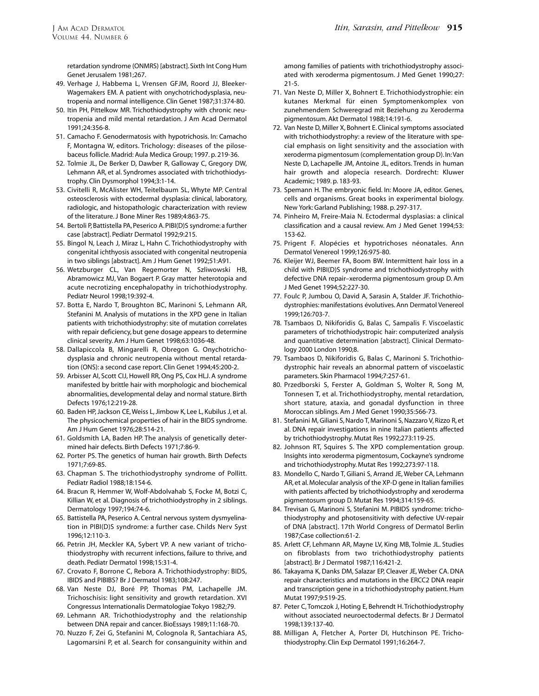J AM ACAD DERMATOL *Itin, Sarasin, and Pittelkow* **915**

retardation syndrome (ONMRS) [abstract]. Sixth Int Cong Hum Genet Jerusalem 1981;267.

- 49. Verhage J, Habbema L, Vrensen GFJM, Roord JJ, Bleeker-Wagemakers EM. A patient with onychotrichodysplasia, neutropenia and normal intelligence. Clin Genet 1987;31:374-80.
- 50. Itin PH, Pittelkow MR. Trichothiodystrophy with chronic neutropenia and mild mental retardation. J Am Acad Dermatol 1991;24:356-8.
- 51. Camacho F. Genodermatosis with hypotrichosis. In: Camacho F, Montagna W, editors. Trichology: diseases of the pilosebaceus follicle. Madrid: Aula Medica Group; 1997. p. 219-36.
- 52. Tolmie JL, De Berker D, Dawber R, Galloway C, Gregory DW, Lehmann AR, et al. Syndromes associated with trichothiodystrophy. Clin Dysmorphol 1994;3:1-14.
- 53. Civitelli R, McAlister WH, Teitelbaum SL, Whyte MP. Central osteosclerosis with ectodermal dysplasia: clinical, laboratory, radiologic, and histopathologic characterization with review of the literature. J Bone Miner Res 1989;4:863-75.
- 54. Bertoli P, Battistella PA, Peserico A. PIBI(D)S syndrome: a further case [abstract]. Pediatr Dermatol 1992;9:215.
- 55. Bingol N, Leach J, Miraz L, Hahn C. Trichothiodystrophy with congenital ichthyosis associated with congenital neutropenia in two siblings [abstract]. Am J Hum Genet 1992;51:A91.
- 56. Wetzburger CL, Van Regemorter N, Szliwowski HB, Abramowicz MJ, Van Bogaert P. Gray matter heterotopia and acute necrotizing encephalopathy in trichothiodystrophy. Pediatr Neurol 1998;19:392-4.
- 57. Botta E, Nardo T, Broughton BC, Marinoni S, Lehmann AR, Stefanini M. Analysis of mutations in the XPD gene in Italian patients with trichothiodystrophy: site of mutation correlates with repair deficiency, but gene dosage appears to determine clinical severity. Am J Hum Genet 1998;63:1036-48.
- 58. Dallapiccola B, Mingarelli R, Obregon G. Onychotrichodysplasia and chronic neutropenia without mental retardation (ONS): a second case report. Clin Genet 1994;45:200-2.
- 59. Arbisser AI, Scott CIJ, Howell RR, Ong PS, Cox HLJ. A syndrome manifested by brittle hair with morphologic and biochemical abnormalities, developmental delay and normal stature. Birth Defects 1976;12:219-28.
- 60. Baden HP, Jackson CE, Weiss L, Jimbow K, Lee L, Kubilus J, et al. The physicochemical properties of hair in the BIDS syndrome. Am J Hum Genet 1976;28:514-21.
- 61. Goldsmith LA, Baden HP. The analysis of genetically determined hair defects. Birth Defects 1971;7:86-9.
- 62. Porter PS. The genetics of human hair growth. Birth Defects 1971;7:69-85.
- 63. Chapman S. The trichothiodystrophy syndrome of Pollitt. Pediatr Radiol 1988;18:154-6.
- 64. Bracun R, Hemmer W, Wolf-Abdolvahab S, Focke M, Botzi C, Killian W, et al. Diagnosis of trichothiodystrophy in 2 siblings. Dermatology 1997;194:74-6.
- 65. Battistella PA, Peserico A. Central nervous system dysmyelination in PIBI(D)S syndrome: a further case. Childs Nerv Syst 1996;12:110-3.
- 66. Petrin JH, Meckler KA, Sybert VP. A new variant of trichothiodystrophy with recurrent infections, failure to thrive, and death. Pediatr Dermatol 1998;15:31-4.
- 67. Crovato F, Borrone C, Rebora A. Trichothiodystrophy: BIDS, IBIDS and PIBIBS? Br J Dermatol 1983;108:247.
- 68. Van Neste DJ, Boré PP, Thomas PM, Lachapelle JM. Trichoschisis: light sensitivity and growth retardation. XVI Congressus Internationalis Dermatologiae Tokyo 1982;79.
- 69. Lehmann AR. Trichothiodystrophy and the relationship between DNA repair and cancer. BioEssays 1989;11:168-70.
- 70. Nuzzo F, Zei G, Stefanini M, Colognola R, Santachiara AS, Lagomarsini P, et al. Search for consanguinity within and

among families of patients with trichothiodystrophy associated with xeroderma pigmentosum. J Med Genet 1990;27: 21-5.

- 71. Van Neste D, Miller X, Bohnert E. Trichothiodystrophie: ein kutanes Merkmal für einen Symptomenkomplex von zunehmendem Schweregrad mit Beziehung zu Xeroderma pigmentosum. Akt Dermatol 1988;14:191-6.
- 72. Van Neste D, Miller X, Bohnert E. Clinical symptoms associated with trichothiodystrophy: a review of the literature with special emphasis on light sensitivity and the association with xeroderma pigmentosum (complementation group D). In:Van Neste D, Lachapelle JM, Antoine JL, editors. Trends in human hair growth and alopecia research. Dordrecht: Kluwer Academic; 1989. p. 183-93.
- 73. Spemann H. The embryonic field. In: Moore JA, editor. Genes, cells and organisms. Great books in experimental biology. New York: Garland Publishing; 1988. p. 297-317.
- 74. Pinheiro M, Freire-Maia N. Ectodermal dysplasias: a clinical classification and a causal review. Am J Med Genet 1994;53: 153-62.
- 75. Prigent F. Alopécies et hypotrichoses néonatales. Ann Dermatol Venereol 1999;126:975-80.
- 76. Kleijer WJ, Beemer FA, Boom BW. Intermittent hair loss in a child with PIBI(D)S syndrome and trichothiodystrophy with defective DNA repair–xeroderma pigmentosum group D. Am J Med Genet 1994;52:227-30.
- 77. Foulc P, Jumbou O, David A, Sarasin A, Stalder JF. Trichothiodystrophies: manifestations évolutives. Ann Dermatol Venereol 1999;126:703-7.
- 78. Tsambaos D, Nikiforidis G, Balas C, Sampalis F. Viscoelastic parameters of trichothiodystropic hair: computerized analysis and quantitative determination [abstract]. Clinical Dermatology 2000 London 1990;8.
- 79. Tsambaos D, Nikiforidis G, Balas C, Marinoni S. Trichothiodystrophic hair reveals an abnormal pattern of viscoelastic parameters. Skin Pharmacol 1994;7:257-61.
- 80. Przedborski S, Ferster A, Goldman S, Wolter R, Song M, Tonnesen T, et al. Trichothiodystrophy, mental retardation, short stature, ataxia, and gonadal dysfunction in three Moroccan siblings. Am J Med Genet 1990;35:566-73.
- 81. Stefanini M, Giliani S, Nardo T, Marinoni S, Nazzaro V, Rizzo R, et al. DNA repair investigations in nine Italian patients affected by trichothiodystrophy. Mutat Res 1992;273:119-25.
- 82. Johnson RT, Squires S. The XPD complementation group. Insights into xeroderma pigmentosum, Cockayne's syndrome and trichothiodystrophy. Mutat Res 1992;273:97-118.
- 83. Mondello C, Nardo T, Giliani S, Arrand JE, Weber CA, Lehmann AR, et al. Molecular analysis of the XP-D gene in Italian families with patients affected by trichothiodystrophy and xeroderma pigmentosum group D. Mutat Res 1994;314:159-65.
- 84. Trevisan G, Marinoni S, Stefanini M. PIBIDS syndrome: trichothiodystrophy and photosensitivity with defective UV-repair of DNA [abstract]. 17th World Congress of Dermatol Berlin 1987;Case collection:61-2.
- 85. Arlett CF, Lehmann AR, Mayne LV, King MB, Tolmie JL. Studies on fibroblasts from two trichothiodystrophy patients [abstract]. Br J Dermatol 1987;116:421-2.
- 86. Takayama K, Danks DM, Salazar EP, Cleaver JE, Weber CA. DNA repair characteristics and mutations in the ERCC2 DNA reapir and transcription gene in a trichothiodystrophy patient. Hum Mutat 1997;9:519-25.
- 87. Peter C, Tomczok J, Hoting E, Behrendt H. Trichothiodystrophy without associated neuroectodermal defects. Br J Dermatol 1998;139:137-40.
- 88. Milligan A, Fletcher A, Porter DI, Hutchinson PE. Trichothiodystrophy. Clin Exp Dermatol 1991;16:264-7.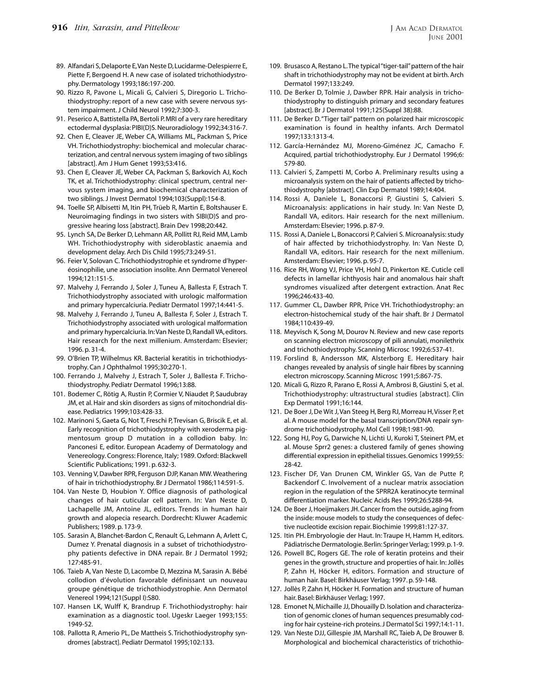- 89. Alfandari S, Delaporte E,Van Neste D, Lucidarme-Delespierre E, Piette F, Bergoend H. A new case of isolated trichothiodystrophy. Dermatology 1993;186:197-200.
- 90. Rizzo R, Pavone L, Micali G, Calvieri S, Diregorio L. Trichothiodystrophy: report of a new case with severe nervous system impairment. J Child Neurol 1992;7:300-3.
- 91. Peserico A, Battistella PA, Bertoli P. MRI of a very rare hereditary ectodermal dysplasia: PIBI(D)S. Neuroradiology 1992;34:316-7.
- 92. Chen E, Cleaver JE, Weber CA, Williams ML, Packman S, Price VH. Trichothiodystrophy: biochemical and molecular characterization, and central nervous system imaging of two siblings [abstract]. Am J Hum Genet 1993;53:416.
- 93. Chen E, Cleaver JE, Weber CA, Packman S, Barkovich AJ, Koch TK, et al. Trichothiodystrophy: clinical spectrum, central nervous system imaging, and biochemical characterization of two siblings. J Invest Dermatol 1994;103(Suppl):154-8.
- 94. Toelle SP, Albisetti M, Itin PH, Trüeb R, Martin E, Boltshauser E. Neuroimaging findings in two sisters with SIBI(D)S and progressive hearing loss [abstract]. Brain Dev 1998;20:442.
- 95. Lynch SA, De Berker D, Lehmann AR, Pollitt RJ, Reid MM, Lamb WH. Trichothiodystrophy with sideroblastic anaemia and development delay. Arch Dis Child 1995;73:249-51.
- 96. Feier V, Solovan C. Trichothiodystrophie et syndrome d'hyperéosinophilie, une association insolite. Ann Dermatol Venereol 1994;121:151-5.
- 97. Malvehy J, Ferrando J, Soler J, Tuneu A, Ballesta F, Estrach T. Trichothiodystrophy associated with urologic malformation and primary hypercalciuria. Pediatr Dermatol 1997;14:441-5.
- 98. Malvehy J, Ferrando J, Tuneu A, Ballesta F, Soler J, Estrach T. Trichothiodystrophy associated with urological malformation and primary hypercalciuria. In:Van Neste D, Randall VA, editors. Hair research for the next millenium. Amsterdam: Elsevier; 1996. p. 31-4.
- 99. O'Brien TP, Wilhelmus KR. Bacterial keratitis in trichothiodystrophy. Can J Ophthalmol 1995;30:270-1.
- 100. Ferrando J, Malvehy J, Estrach T, Soler J, Ballesta F. Trichothiodystrophy. Pediatr Dermatol 1996;13:88.
- 101. Bodemer C, Rötig A, Rustin P, Cormier V, Niaudet P, Saudubray JM, et al. Hair and skin disorders as signs of mitochondrial disease. Pediatrics 1999;103:428-33.
- 102. Marinoni S, Gaeta G, Not T, Freschi P, Trevisan G, Briscik E, et al. Early recognition of trichothiodystrophy with xeroderma pigmentosum group D mutation in a collodion baby. In: Panconesi E, editor. European Academy of Dermatology and Venereology. Congress: Florence, Italy; 1989. Oxford: Blackwell Scientific Publications; 1991. p. 632-3.
- 103. Venning V, Dawber RPR, Ferguson DJP, Kanan MW. Weathering of hair in trichothiodystrophy. Br J Dermatol 1986;114:591-5.
- 104. Van Neste D, Houbion Y. Office diagnosis of pathological changes of hair cuticular cell pattern. In: Van Neste D, Lachapelle JM, Antoine JL, editors. Trends in human hair growth and alopecia research. Dordrecht: Kluwer Academic Publishers; 1989. p. 173-9.
- 105. Sarasin A, Blanchet-Bardon C, Renault G, Lehmann A, Arlett C, Dumez Y. Prenatal diagnosis in a subset of trichothiodystrophy patients defective in DNA repair. Br J Dermatol 1992; 127:485-91.
- 106. Taieb A, Van Neste D, Lacombe D, Mezzina M, Sarasin A. Bébé collodion d'évolution favorable définissant un nouveau groupe génétique de trichothiodystrophie. Ann Dermatol Venereol 1994;121(Suppl I):S80.
- 107. Hansen LK, Wulff K, Brandrup F. Trichothiodystrophy: hair examination as a diagnostic tool. Ugeskr Laeger 1993;155: 1949-52.
- 108. Pallotta R, Amerio PL, De Mattheis S. Trichothiodystrophy syndromes [abstract]. Pediatr Dermatol 1995;102:133.
- 109. Brusasco A, Restano L.The typical "tiger-tail"pattern of the hair shaft in trichothiodystrophy may not be evident at birth. Arch Dermatol 1997;133:249.
- 110. De Berker D, Tolmie J, Dawber RPR. Hair analysis in trichothiodystrophy to distinguish primary and secondary features [abstract]. Br J Dermatol 1991;125(Suppl 38):88.
- 111. De Berker D."Tiger tail" pattern on polarized hair microscopic examination is found in healthy infants. Arch Dermatol 1997;133:1313-4.
- 112. García-Hernández MJ, Moreno-Giménez JC, Camacho F. Acquired, partial trichothiodystrophy. Eur J Dermatol 1996;6: 579-80.
- 113. Calvieri S, Zampetti M, Corbo A. Preliminary results using a microanalysis system on the hair of patients affected by trichothiodystrophy [abstract]. Clin Exp Dermatol 1989;14:404.
- 114. Rossi A, Daniele L, Bonaccorsi P, Giustini S, Calvieri S. Microanalysis: applications in hair study. In: Van Neste D, Randall VA, editors. Hair research for the next millenium. Amsterdam: Elsevier; 1996. p. 87-9.
- 115. Rossi A, Daniele L, Bonaccorsi P, Calvieri S. Microanalysis: study of hair affected by trichothiodystrophy. In: Van Neste D, Randall VA, editors. Hair research for the next millenium. Amsterdam: Elsevier; 1996. p. 95-7.
- 116. Rice RH, Wong VJ, Price VH, Hohl D, Pinkerton KE. Cuticle cell defects in lamellar ichthyosis hair and anomalous hair shaft syndromes visualized after detergent extraction. Anat Rec 1996;246:433-40.
- 117. Gummer CL, Dawber RPR, Price VH. Trichothiodystrophy: an electron-histochemical study of the hair shaft. Br J Dermatol 1984;110:439-49.
- 118. Meyvisch K, Song M, Dourov N. Review and new case reports on scanning electron microscopy of pili annulati, monilethrix and trichothiodystrophy. Scanning Microsc 1992;6:537-41.
- 119. Forslind B, Andersson MK, Alsterborg E. Hereditary hair changes revealed by analysis of single hair fibres by scanning electron microscopy. Scanning Microsc 1991;5:867-75.
- 120. Micali G, Rizzo R, Parano E, Rossi A, Ambrosi B, Giustini S, et al. Trichothiodystrophy: ultrastructural studies [abstract]. Clin Exp Dermatol 1991;16:144.
- 121. De Boer J, De Wit J,Van Steeg H, Berg RJ, Morreau H,Visser P, et al. A mouse model for the basal transcription/DNA repair syndrome trichothiodystrophy. Mol Cell 1998;1:981-90.
- 122. Song HJ, Poy G, Darwiche N, Lichti U, Kuroki T, Steinert PM, et al. Mouse Sprr2 genes: a clustered family of genes showing differential expression in epithelial tissues. Genomics 1999;55: 28-42.
- 123. Fischer DF, Van Drunen CM, Winkler GS, Van de Putte P, Backendorf C. Involvement of a nuclear matrix association region in the regulation of the SPRR2A keratinocyte terminal differentiation marker. Nucleic Acids Res 1999;26:5288-94.
- 124. De Boer J, Hoeijmakers JH. Cancer from the outside, aging from the inside: mouse models to study the consequences of defective nucleotide excision repair. Biochimie 1999;81:127-37.
- 125. Itin PH. Embryologie der Haut. In: Traupe H, Hamm H, editors. Pädiatrische Dermatologie. Berlin: Springer Verlag; 1999. p. 1-9.
- 126. Powell BC, Rogers GE. The role of keratin proteins and their genes in the growth, structure and properties of hair. In: Jollès P, Zahn H, Höcker H, editors. Formation and structure of human hair. Basel: Birkhäuser Verlag; 1997. p. 59-148.
- 127. Jollès P, Zahn H, Höcker H. Formation and structure of human hair. Basel: Birkhäuser Verlag; 1997.
- 128. Emonet N, Michaille JJ, Dhouailly D. Isolation and characterization of genomic clones of human sequences presumably coding for hair cysteine-rich proteins. J Dermatol Sci 1997;14:1-11.
- 129. Van Neste DJJ, Gillespie JM, Marshall RC, Taieb A, De Brouwer B. Morphological and biochemical characteristics of trichothio-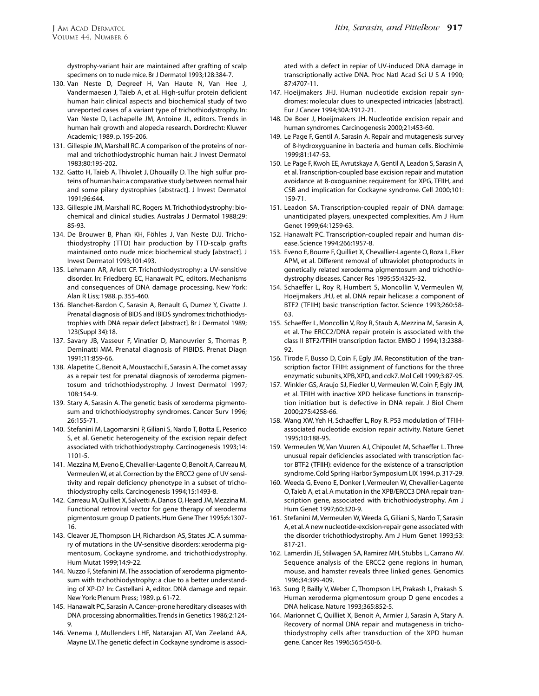dystrophy-variant hair are maintained after grafting of scalp specimens on to nude mice. Br J Dermatol 1993;128:384-7.

- 130. Van Neste D, Degreef H, Van Haute N, Van Hee J, Vandermaesen J, Taieb A, et al. High-sulfur protein deficient human hair: clinical aspects and biochemical study of two unreported cases of a variant type of trichothiodystrophy. In: Van Neste D, Lachapelle JM, Antoine JL, editors. Trends in human hair growth and alopecia research. Dordrecht: Kluwer Academic; 1989. p. 195-206.
- 131. Gillespie JM, Marshall RC. A comparison of the proteins of normal and trichothiodystrophic human hair. J Invest Dermatol 1983;80:195-202.
- 132. Gatto H, Taieb A, Thivolet J, Dhouailly D. The high sulfur proteins of human hair: a comparative study between normal hair and some pilary dystrophies [abstract]. J Invest Dermatol 1991;96:644.
- 133. Gillespie JM, Marshall RC, Rogers M. Trichothiodystrophy: biochemical and clinical studies. Australas J Dermatol 1988;29: 85-93.
- 134. De Brouwer B, Phan KH, Föhles J, Van Neste DJJ. Trichothiodystrophy (TTD) hair production by TTD-scalp grafts maintained onto nude mice: biochemical study [abstract]. J Invest Dermatol 1993;101:493.
- 135. Lehmann AR, Arlett CF. Trichothiodystrophy: a UV-sensitive disorder. In: Friedberg EC, Hanawalt PC, editors. Mechanisms and consequences of DNA damage processing. New York: Alan R Liss; 1988. p. 355-460.
- 136. Blanchet-Bardon C, Sarasin A, Renault G, Dumez Y, Civatte J. Prenatal diagnosis of BIDS and IBIDS syndromes: trichothiodystrophies with DNA repair defect [abstract]. Br J Dermatol 1989; 123(Suppl 34):18.
- 137. Savary JB, Vasseur F, Vinatier D, Manouvrier S, Thomas P, Deminatti MM. Prenatal diagnosis of PIBIDS. Prenat Diagn 1991;11:859-66.
- 138. Alapetite C, Benoit A, Moustacchi E, Sarasin A.The comet assay as a repair test for prenatal diagnosis of xeroderma pigmentosum and trichothiodystrophy. J Invest Dermatol 1997; 108:154-9.
- 139. Stary A, Sarasin A. The genetic basis of xeroderma pigmentosum and trichothiodystrophy syndromes. Cancer Surv 1996; 26:155-71.
- 140. Stefanini M, Lagomarsini P, Giliani S, Nardo T, Botta E, Peserico S, et al. Genetic heterogeneity of the excision repair defect associated with trichothiodystrophy. Carcinogenesis 1993;14: 1101-5.
- 141. Mezzina M, Eveno E, Chevallier-Lagente O, Benoit A, Carreau M, Vermeulen W, et al. Correction by the ERCC2 gene of UV sensitivity and repair deficiency phenotype in a subset of trichothiodystrophy cells. Carcinogenesis 1994;15:1493-8.
- 142. Carreau M, Quilliet X, Salvetti A, Danos O, Heard JM, Mezzina M. Functional retroviral vector for gene therapy of xeroderma pigmentosum group D patients. Hum Gene Ther 1995;6:1307- 16.
- 143. Cleaver JE, Thompson LH, Richardson AS, States JC. A summary of mutations in the UV-sensitive disorders: xeroderma pigmentosum, Cockayne syndrome, and trichothiodystrophy. Hum Mutat 1999;14:9-22.
- 144. Nuzzo F, Stefanini M. The association of xeroderma pigmentosum with trichothiodystrophy: a clue to a better understanding of XP-D? In: Castellani A, editor. DNA damage and repair. New York: Plenum Press; 1989. p. 61-72.
- 145. Hanawalt PC, Sarasin A. Cancer-prone hereditary diseases with DNA processing abnormalities.Trends in Genetics 1986;2:124- 9.
- 146. Venema J, Mullenders LHF, Natarajan AT, Van Zeeland AA, Mayne LV.The genetic defect in Cockayne syndrome is associ-

ated with a defect in repiar of UV-induced DNA damage in transcriptionally active DNA. Proc Natl Acad Sci U S A 1990; 87:4707-11.

- 147. Hoeijmakers JHJ. Human nucleotide excision repair syndromes: molecular clues to unexpected intricacies [abstract]. Eur J Cancer 1994;30A:1912-21.
- 148. De Boer J, Hoeijmakers JH. Nucleotide excision repair and human syndromes. Carcinogenesis 2000;21:453-60.
- 149. Le Page F, Gentil A, Sarasin A. Repair and mutagenesis survey of 8-hydroxyguanine in bacteria and human cells. Biochimie 1999;81:147-53.
- 150. Le Page F, Kwoh EE, Avrutskaya A, Gentil A, Leadon S, Sarasin A, et al.Transcription-coupled base excision repair and mutation avoidance at 8-oxoguanine: requirement for XPG, TFIIH, and CSB and implication for Cockayne syndrome. Cell 2000;101: 159-71.
- 151. Leadon SA. Transcription-coupled repair of DNA damage: unanticipated players, unexpected complexities. Am J Hum Genet 1999;64:1259-63.
- 152. Hanawalt PC. Transcription-coupled repair and human disease. Science 1994;266:1957-8.
- 153. Eveno E, Bourre F, Quilliet X, Chevallier-Lagente O, Roza L, Eker APM, et al. Different removal of ultraviolet photoproducts in genetically related xeroderma pigmentosum and trichothiodystrophy diseases. Cancer Res 1995;55:4325-32.
- 154. Schaeffer L, Roy R, Humbert S, Moncollin V, Vermeulen W, Hoeijmakers JHJ, et al. DNA repair helicase: a component of BTF2 (TFIIH) basic transcription factor. Science 1993;260:58- 63.
- 155. Schaeffer L, Moncollin V, Roy R, Staub A, Mezzina M, Sarasin A, et al. The ERCC2/DNA repair protein is associated with the class II BTF2/TFIIH transcription factor. EMBO J 1994;13:2388- 92.
- 156. Tirode F, Busso D, Coin F, Egly JM. Reconstitution of the transcription factor TFIIH: assignment of functions for the three enzymatic subunits, XPB, XPD, and cdk7. Mol Cell 1999;3:87-95.
- 157. Winkler GS, Araujo SJ, Fiedler U, Vermeulen W, Coin F, Egly JM, et al. TFIIH with inactive XPD helicase functions in transcription initiation but is defective in DNA repair. J Biol Chem 2000;275:4258-66.
- 158. Wang XW, Yeh H, Schaeffer L, Roy R. P53 modulation of TFIIHassociated nucleotide excision repair activity. Nature Genet 1995;10:188-95.
- 159. Vermeulen W, Van Vuuren AJ, Chipoulet M, Schaeffer L. Three unusual repair deficiencies associated with transcription factor BTF2 (TFIIH): evidence for the existence of a transcription syndrome. Cold Spring Harbor Symposium LIX 1994. p. 317-29.
- 160. Weeda G, Eveno E, Donker I, Vermeulen W, Chevallier-Lagente O,Taieb A, et al. A mutation in the XPB/ERCC3 DNA repair transcription gene, associated with trichothiodystrophy. Am J Hum Genet 1997;60:320-9.
- 161. Stefanini M, Vermeulen W, Weeda G, Giliani S, Nardo T, Sarasin A, et al. A new nucleotide-excision-repair gene associated with the disorder trichothiodystrophy. Am J Hum Genet 1993;53: 817-21.
- 162. Lamerdin JE, Stilwagen SA, Ramirez MH, Stubbs L, Carrano AV. Sequence analysis of the ERCC2 gene regions in human, mouse, and hamster reveals three linked genes. Genomics 1996;34:399-409.
- 163. Sung P, Bailly V, Weber C, Thompson LH, Prakash L, Prakash S. Human xeroderma pigmentosum group D gene encodes a DNA helicase. Nature 1993;365:852-5.
- 164. Marionnet C, Quilliet X, Benoit A, Armier J, Sarasin A, Stary A. Recovery of normal DNA repair and mutagenesis in trichothiodystrophy cells after transduction of the XPD human gene. Cancer Res 1996;56:5450-6.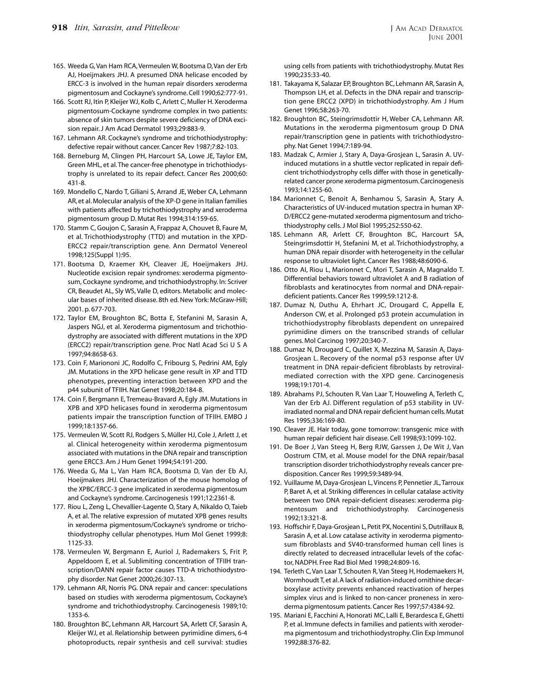- 165. Weeda G, Van Ham RCA, Vermeulen W, Bootsma D, Van der Erb AJ, Hoeijmakers JHJ. A presumed DNA helicase encoded by ERCC-3 is involved in the human repair disorders xeroderma pigmentosum and Cockayne's syndrome. Cell 1990;62:777-91.
- 166. Scott RJ, Itin P, Kleijer WJ, Kolb C, Arlett C, Muller H. Xeroderma pigmentosum-Cockayne syndrome complex in two patients: absence of skin tumors despite severe deficiency of DNA excision repair. J Am Acad Dermatol 1993;29:883-9.
- 167. Lehmann AR. Cockayne's syndrome and trichothiodystrophy: defective repair without cancer. Cancer Rev 1987;7:82-103.
- 168. Berneburg M, Clingen PH, Harcourt SA, Lowe JE, Taylor EM, Green MHL, et al. The cancer-free phenotype in trichothiodystrophy is unrelated to its repair defect. Cancer Res 2000;60: 431-8.
- 169. Mondello C, Nardo T, Giliani S, Arrand JE, Weber CA, Lehmann AR, et al. Molecular analysis of the XP-D gene in Italian families with patients affected by trichothiodystrophy and xeroderma pigmentosum group D. Mutat Res 1994;314:159-65.
- 170. Stamm C, Goujon C, Sarasin A, Frappaz A, Chouvet B, Faure M, et al. Trichothiodystrophy (TTD) and mutation in the XPD-ERCC2 repair/transcription gene. Ann Dermatol Venereol 1998;125(Suppl 1):95.
- 171. Bootsma D, Kraemer KH, Cleaver JE, Hoeijmakers JHJ. Nucleotide excision repair syndromes: xeroderma pigmentosum, Cockayne syndrome, and trichothiodystrophy. In: Scriver CR, Beaudet AL, Sly WS, Valle D, editors. Metabolic and molecular bases of inherited disease. 8th ed. New York: McGraw-Hill; 2001. p. 677-703.
- 172. Taylor EM, Broughton BC, Botta E, Stefanini M, Sarasin A, Jaspers NGJ, et al. Xeroderma pigmentosum and trichothiodystrophy are associated with different mutations in the XPD (ERCC2) repair/transcription gene. Proc Natl Acad Sci U S A 1997;94:8658-63.
- 173. Coin F, Mariononi JC, Rodolfo C, Fribourg S, Pedrini AM, Egly JM. Mutations in the XPD helicase gene result in XP and TTD phenotypes, preventing interaction between XPD and the p44 subunit of TFIIH. Nat Genet 1998;20:184-8.
- 174. Coin F, Bergmann E, Tremeau-Bravard A, Egly JM. Mutations in XPB and XPD helicases found in xeroderma pigmentosum patients impair the transcription function of TFIIH. EMBO J 1999;18:1357-66.
- 175. Vermeulen W, Scott RJ, Rodgers S, Müller HJ, Cole J, Arlett J, et al. Clinical heterogeneity within xeroderma pigmentosum associated with mutations in the DNA repair and transcription gene ERCC3. Am J Hum Genet 1994;54:191-200.
- 176. Weeda G, Ma L, Van Ham RCA, Bootsma D, Van der Eb AJ, Hoeijmakers JHJ. Characterization of the mouse homolog of the XPBC/ERCC-3 gene implicated in xeroderma pigmentosum and Cockayne's syndrome. Carcinogenesis 1991;12:2361-8.
- 177. Riou L, Zeng L, Chevallier-Lagente O, Stary A, Nikaldo O, Taieb A, et al. The relative expression of mutated XPB genes results in xeroderma pigmentosum/Cockayne's syndrome or trichothiodystrophy cellular phenotypes. Hum Mol Genet 1999;8: 1125-33.
- 178. Vermeulen W, Bergmann E, Auriol J, Rademakers S, Frit P, Appeldoorn E, et al. Sublimiting concentration of TFIIH transcription/DANN repair factor causes TTD-A trichothiodystrophy disorder. Nat Genet 2000;26:307-13.
- 179. Lehmann AR, Norris PG. DNA repair and cancer: speculations based on studies with xeroderma pigmentosum, Cockayne's syndrome and trichothiodystrophy. Carcinogenesis 1989;10: 1353-6.
- 180. Broughton BC, Lehmann AR, Harcourt SA, Arlett CF, Sarasin A, Kleijer WJ, et al. Relationship between pyrimidine dimers, 6-4 photoproducts, repair synthesis and cell survival: studies

using cells from patients with trichothiodystrophy. Mutat Res 1990;235:33-40.

- 181. Takayama K, Salazar EP, Broughton BC, Lehmann AR, Sarasin A, Thompson LH, et al. Defects in the DNA repair and transcription gene ERCC2 (XPD) in trichothiodystrophy. Am J Hum Genet 1996;58:263-70.
- 182. Broughton BC, Steingrimsdottir H, Weber CA, Lehmann AR. Mutations in the xeroderma pigmentosum group D DNA repair/transcription gene in patients with trichothiodystrophy. Nat Genet 1994;7:189-94.
- 183. Madzak C, Armier J, Stary A, Daya-Grosjean L, Sarasin A. UVinduced mutations in a shuttle vector replicated in repair deficient trichothiodystrophy cells differ with those in geneticallyrelated cancer prone xeroderma pigmentosum. Carcinogenesis 1993;14:1255-60.
- 184. Marionnet C, Benoit A, Benhamou S, Sarasin A, Stary A. Characteristics of UV-induced mutation spectra in human XP-D/ERCC2 gene-mutated xeroderma pigmentosum and trichothiodystrophy cells. J Mol Biol 1995;252:550-62.
- 185. Lehmann AR, Arlett CF, Broughton BC, Harcourt SA, Steingrimsdottir H, Stefanini M, et al. Trichothiodystrophy, a human DNA repair disorder with heterogeneity in the cellular response to ultraviolet light. Cancer Res 1988;48:6090-6.
- 186. Otto AI, Riou L, Marionnet C, Mori T, Sarasin A, Magnaldo T. Differential behaviors toward ultraviolet A and B radiation of fibroblasts and keratinocytes from normal and DNA-repairdeficient patients. Cancer Res 1999;59:1212-8.
- 187. Dumaz N, Duthu A, Ehrhart JC, Drougard C, Appella E, Anderson CW, et al. Prolonged p53 protein accumulation in trichothiodystrophy fibroblasts dependent on unrepaired pyrimidine dimers on the transcribed strands of cellular genes. Mol Carcinog 1997;20:340-7.
- 188. Dumaz N, Drougard C, Quillet X, Mezzina M, Sarasin A, Daya-Grosjean L. Recovery of the normal p53 response after UV treatment in DNA repair-deficient fibroblasts by retroviralmediated correction with the XPD gene. Carcinogenesis 1998;19:1701-4.
- 189. Abrahams PJ, Schouten R, Van Laar T, Houweling A, Terleth C, Van der Erb AJ. Different regulation of p53 stability in UVirradiated normal and DNA repair deficient human cells. Mutat Res 1995;336:169-80.
- 190. Cleaver JE. Hair today, gone tomorrow: transgenic mice with human repair deficient hair disease. Cell 1998;93:1099-102.
- 191. De Boer J, Van Steeg H, Berg RJW, Garssen J, De Wit J, Van Oostrum CTM, et al. Mouse model for the DNA repair/basal transcription disorder trichothiodystrophy reveals cancer predisposition. Cancer Res 1999;59:3489-94.
- 192. Vuillaume M, Daya-Grosjean L, Vincens P, Pennetier JL, Tarroux P, Baret A, et al. Striking differences in cellular catalase activity between two DNA repair-deficient diseases: xeroderma pigmentosum and trichothiodystrophy. Carcinogenesis 1992;13:321-8.
- 193. Hoffschir F, Daya-Grosjean L, Petit PX, Nocentini S, Dutrillaux B, Sarasin A, et al. Low catalase activity in xeroderma pigmentosum fibroblasts and SV40-transformed human cell lines is directly related to decreased intracellular levels of the cofactor, NADPH. Free Rad Biol Med 1998;24:809-16.
- 194. Terleth C, Van Laar T, Schouten R, Van Steeg H, Hodemaekers H, Wormhoudt T, et al. A lack of radiation-induced ornithine decarboxylase activity prevents enhanced reactivation of herpes simplex virus and is linked to non-cancer proneness in xeroderma pigmentosum patients. Cancer Res 1997;57:4384-92.
- 195. Mariani E, Facchini A, Honorati MC, Lalli E, Berardesca E, Ghetti P, et al. Immune defects in families and patients with xeroderma pigmentosum and trichothiodystrophy. Clin Exp Immunol 1992;88:376-82.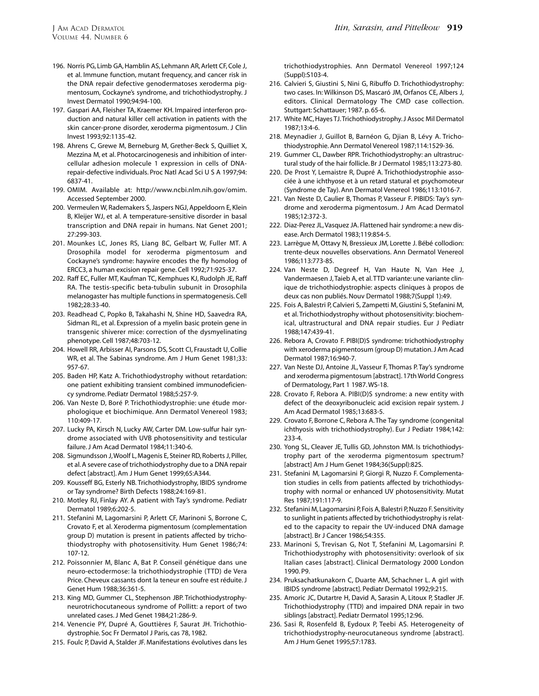- 196. Norris PG, Limb GA, Hamblin AS, Lehmann AR, Arlett CF, Cole J, et al. Immune function, mutant frequency, and cancer risk in the DNA repair defective genodermatoses xeroderma pigmentosum, Cockayne's syndrome, and trichothiodystrophy. J Invest Dermatol 1990;94:94-100.
- 197. Gaspari AA, Fleisher TA, Kraemer KH. Impaired interferon production and natural killer cell activation in patients with the skin cancer-prone disorder, xeroderma pigmentosum. J Clin Invest 1993;92:1135-42.
- 198. Ahrens C, Grewe M, Berneburg M, Grether-Beck S, Quilliet X, Mezzina M, et al. Photocarcinogenesis and inhibition of intercellular adhesion molecule 1 expression in cells of DNArepair-defective individuals. Proc Natl Acad Sci U S A 1997;94: 6837-41.
- 199. OMIM. Available at: http://www.ncbi.nlm.nih.gov/omim. Accessed September 2000.
- 200. Vermeulen W, Rademakers S, Jaspers NGJ, Appeldoorn E, Klein B, Kleijer WJ, et al. A temperature-sensitive disorder in basal transcription and DNA repair in humans. Nat Genet 2001; 27:299-303.
- 201. Mounkes LC, Jones RS, Liang BC, Gelbart W, Fuller MT. A Drosophila model for xeroderma pigmentosum and Cockayne's syndrome: haywire encodes the fly homolog of ERCC3, a human excision repair gene. Cell 1992;71:925-37.
- 202. Raff EC, Fuller MT, Kaufman TC, Kemphues KJ, Rudolph JE, Raff RA. The testis-specific beta-tubulin subunit in Drosophila melanogaster has multiple functions in spermatogenesis. Cell 1982;28:33-40.
- 203. Readhead C, Popko B, Takahashi N, Shine HD, Saavedra RA, Sidman RL, et al. Expression of a myelin basic protein gene in transgenic shiverer mice: correction of the dysmyelinating phenotype. Cell 1987;48:703-12.
- 204. Howell RR, Arbisser AI, Parsons DS, Scott CI, Fraustadt U, Collie WR, et al. The Sabinas syndrome. Am J Hum Genet 1981;33: 957-67.
- 205. Baden HP, Katz A. Trichothiodystrophy without retardation: one patient exhibiting transient combined immunodeficiency syndrome. Pediatr Dermatol 1988;5:257-9.
- 206. Van Neste D, Boré P. Trichothiodystrophie: une étude morphologique et biochimique. Ann Dermatol Venereol 1983; 110:409-17.
- 207. Lucky PA, Kirsch N, Lucky AW, Carter DM. Low-sulfur hair syndrome associated with UVB photosensitivity and testicular failure. J Am Acad Dermatol 1984;11:340-6.
- 208. Sigmundsson J,Woolf L, Magenis E, Steiner RD, Roberts J, Piller, et al. A severe case of trichothiodystrophy due to a DNA repair defect [abstract]. Am J Hum Genet 1999;65:A344.
- 209. Kousseff BG, Esterly NB. Trichothiodystrophy, IBIDS syndrome or Tay syndrome? Birth Defects 1988;24:169-81.
- 210. Motley RJ, Finlay AY. A patient with Tay's syndrome. Pediatr Dermatol 1989;6:202-5.
- 211. Stefanini M, Lagomarsini P, Arlett CF, Marinoni S, Borrone C, Crovato F, et al. Xeroderma pigmentosum (complementation group D) mutation is present in patients affected by trichothiodystrophy with photosensitivity. Hum Genet 1986;74: 107-12.
- 212. Poissonnier M, Blanc A, Bat P. Conseil génétique dans une neuro-ectodermose: la trichothiodystrophie (TTD) de Vera Price. Cheveux cassants dont la teneur en soufre est réduite. J Genet Hum 1988;36:361-5.
- 213. King MD, Gummer CL, Stephenson JBP. Trichothiodystrophyneurotrichocutaneous syndrome of Pollitt: a report of two unrelated cases. J Med Genet 1984;21:286-9.
- 214. Venencie PY, Dupré A, Gouttières F, Saurat JH. Trichothiodystrophie. Soc Fr Dermatol J Paris, cas 78, 1982.
- 215. Foulc P, David A, Stalder JF. Manifestations évolutives dans les

trichothiodystrophies. Ann Dermatol Venereol 1997;124 (Suppl):S103-4.

- 216. Calvieri S, Giustini S, Nini G, Ribuffo D. Trichothiodystrophy: two cases. In: Wilkinson DS, Mascaró JM, Orfanos CE, Albers J, editors. Clinical Dermatology The CMD case collection. Stuttgart: Schattauer; 1987. p. 65-6.
- 217. White MC, Hayes TJ.Trichothiodystrophy. J Assoc Mil Dermatol 1987;13:4-6.
- 218. Meynadier J, Guillot B, Barnéon G, Djian B, Lévy A. Trichothiodystrophie. Ann Dermatol Venereol 1987;114:1529-36.
- 219. Gummer CL, Dawber RPR. Trichothiodystrophy: an ultrastructural study of the hair follicle. Br J Dermatol 1985;113:273-80.
- 220. De Prost Y, Lemaistre R, Dupré A. Trichothiodystrophie associée à une ichthyose et à un retard statural et psychomoteur (Syndrome de Tay). Ann Dermatol Venereol 1986;113:1016-7.
- 221. Van Neste D, Caulier B, Thomas P, Vasseur F. PIBIDS: Tay's syndrome and xeroderma pigmentosum. J Am Acad Dermatol 1985;12:372-3.
- 222. Diaz-Perez JL, Vasquez JA. Flattened hair syndrome: a new disease. Arch Dermatol 1983;119:854-5.
- 223. Larrègue M, Ottavy N, Bressieux JM, Lorette J. Bébé collodion: trente-deux nouvelles observations. Ann Dermatol Venereol 1986;113:773-85.
- 224. Van Neste D, Degreef H, Van Haute N, Van Hee J, Vandermaesen J, Taieb A, et al. TTD variante: une variante clinique de trichothiodystrophie: aspects cliniques à propos de deux cas non publiés. Nouv Dermatol 1988;7(Suppl 1):49.
- 225. Fois A, Balestri P, Calvieri S, Zampetti M, Giustini S, Stefanini M, et al. Trichothiodystrophy without photosensitivity: biochemical, ultrastructural and DNA repair studies. Eur J Pediatr 1988;147:439-41.
- 226. Rebora A, Crovato F. PIBI(D)S syndrome: trichothiodystrophy with xeroderma pigmentosum (group D) mutation. J Am Acad Dermatol 1987;16:940-7.
- 227. Van Neste DJ, Antoine JL, Vasseur F, Thomas P. Tay's syndrome and xeroderma pigmentosum [abstract]. 17th World Congress of Dermatology, Part 1 1987. WS-18.
- 228. Crovato F, Rebora A. PIBI(D)S syndrome: a new entity with defect of the deoxyribonucleic acid excision repair system. J Am Acad Dermatol 1985;13:683-5.
- 229. Crovato F, Borrone C, Rebora A. The Tay syndrome (congenital ichthyosis with trichothiodystrophy). Eur J Pediatr 1984;142: 233-4.
- 230. Yong SL, Cleaver JE, Tullis GD, Johnston MM. Is trichothiodystrophy part of the xeroderma pigmentosum spectrum? [abstract] Am J Hum Genet 1984;36(Suppl):82S.
- 231. Stefanini M, Lagomarsini P, Giorgi R, Nuzzo F. Complementation studies in cells from patients affected by trichothiodystrophy with normal or enhanced UV photosensitivity. Mutat Res 1987;191:117-9.
- 232. Stefanini M, Lagomarsini P, Fois A, Balestri P, Nuzzo F. Sensitivity to sunlight in patients affected by trichothiodystrophy is related to the capacity to repair the UV-induced DNA damage [abstract]. Br J Cancer 1986;54:355.
- 233. Marinoni S, Trevisan G, Not T, Stefanini M, Lagomarsini P. Trichothiodystrophy with photosensitivity: overlook of six Italian cases [abstract]. Clinical Dermatology 2000 London 1990. P9.
- 234. Pruksachatkunakorn C, Duarte AM, Schachner L. A girl with IBIDS syndrome [abstract]. Pediatr Dermatol 1992;9:215.
- 235. Amoric JC, Dutartre H, David A, Sarasin A, Litoux P, Stadler JF. Trichothiodystrophy (TTD) and impaired DNA repair in two siblings [abstract]. Pediatr Dermatol 1995;12:96.
- 236. Sasi R, Rosenfeld B, Eydoux P, Teebi AS. Heterogeneity of trichothiodystrophy-neurocutaneous syndrome [abstract]. Am J Hum Genet 1995;57:1783.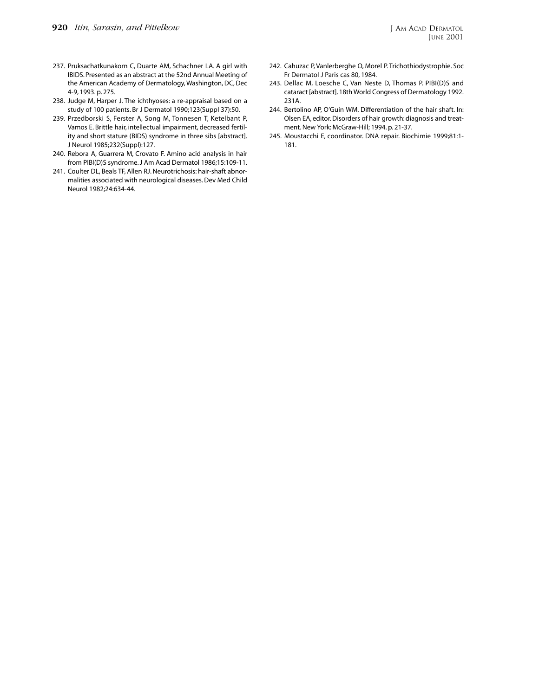- 237. Pruksachatkunakorn C, Duarte AM, Schachner LA. A girl with IBIDS. Presented as an abstract at the 52nd Annual Meeting of the American Academy of Dermatology, Washington, DC, Dec 4-9, 1993. p. 275.
- 238. Judge M, Harper J. The ichthyoses: a re-appraisal based on a study of 100 patients. Br J Dermatol 1990;123(Suppl 37):50.
- 239. Przedborski S, Ferster A, Song M, Tonnesen T, Ketelbant P, Vamos E. Brittle hair, intellectual impairment, decreased fertility and short stature (BIDS) syndrome in three sibs [abstract]. J Neurol 1985;232(Suppl):127.
- 240. Rebora A, Guarrera M, Crovato F. Amino acid analysis in hair from PIBI(D)S syndrome. J Am Acad Dermatol 1986;15:109-11.
- 241. Coulter DL, Beals TF, Allen RJ. Neurotrichosis: hair-shaft abnormalities associated with neurological diseases. Dev Med Child Neurol 1982;24:634-44.
- 242. Cahuzac P, Vanlerberghe O, Morel P. Trichothiodystrophie. Soc Fr Dermatol J Paris cas 80, 1984.
- 243. Dellac M, Loesche C, Van Neste D, Thomas P. PIBI(D)S and cataract [abstract]. 18th World Congress of Dermatology 1992. 231A.
- 244. Bertolino AP, O'Guin WM. Differentiation of the hair shaft. In: Olsen EA, editor. Disorders of hair growth: diagnosis and treatment. New York: McGraw-Hill; 1994. p. 21-37.
- 245. Moustacchi E, coordinator. DNA repair. Biochimie 1999;81:1- 181.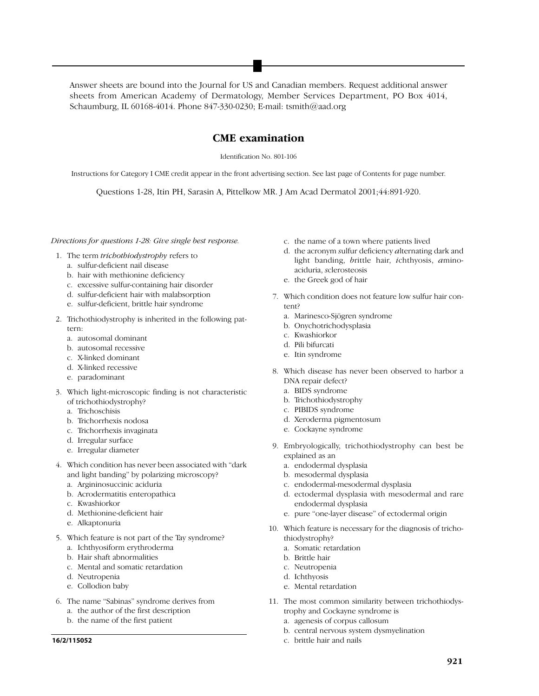Answer sheets are bound into the Journal for US and Canadian members. Request additional answer sheets from American Academy of Dermatology, Member Services Department, PO Box 4014, Schaumburg, IL 60168-4014. Phone 847-330-0230; E-mail: tsmith@aad.org

## **CME examination**

Identification No. 801-106

Instructions for Category I CME credit appear in the front advertising section. See last page of Contents for page number.

Questions 1-28, Itin PH, Sarasin A, Pittelkow MR. J Am Acad Dermatol 2001;44:891-920.

*Directions for questions 1-28: Give single best response.*

- 1. The term *trichothiodystrophy* refers to
	- a. sulfur-deficient nail disease
	- b. hair with methionine deficiency
	- c. excessive sulfur-containing hair disorder
	- d. sulfur-deficient hair with malabsorption
	- e. sulfur-deficient, brittle hair syndrome
- 2. Trichothiodystrophy is inherited in the following pattern:
	- a. autosomal dominant
	- b. autosomal recessive
	- c. X-linked dominant
	- d. X-linked recessive
	- e. paradominant
- 3. Which light-microscopic finding is not characteristic of trichothiodystrophy?
	- a. Trichoschisis
	- b. Trichorrhexis nodosa
	- c. Trichorrhexis invaginata
	- d. Irregular surface
	- e. Irregular diameter
- 4. Which condition has never been associated with "dark and light banding" by polarizing microscopy?
	- a. Argininosuccinic aciduria
	- b. Acrodermatitis enteropathica
	- c. Kwashiorkor
	- d. Methionine-deficient hair
	- e. Alkaptonuria
- 5. Which feature is not part of the Tay syndrome?
	- a. Ichthyosiform erythroderma
	- b. Hair shaft abnormalities
	- c. Mental and somatic retardation
	- d. Neutropenia
	- e. Collodion baby
- 6. The name "Sabinas" syndrome derives from
	- a. the author of the first description
	- b. the name of the first patient
- **16/2/115052**
- c. the name of a town where patients lived
- d. the acronym *s*ulfur deficiency *a*lternating dark and light banding, *b*rittle hair, *i*chthyosis, *a*minoaciduria, *s*clerosteosis
- e. the Greek god of hair
- 7. Which condition does not feature low sulfur hair content?
	- a. Marinesco-Sjögren syndrome
	- b. Onychotrichodysplasia
	- c. Kwashiorkor
	- d. Pili bifurcati
	- e. Itin syndrome
- 8. Which disease has never been observed to harbor a DNA repair defect?
	- a. BIDS syndrome
	- b. Trichothiodystrophy
	- c. PIBIDS syndrome
	- d. Xeroderma pigmentosum
	- e. Cockayne syndrome
- 9. Embryologically, trichothiodystrophy can best be explained as an
	- a. endodermal dysplasia
	- b. mesodermal dysplasia
	- c. endodermal-mesodermal dysplasia
	- d. ectodermal dysplasia with mesodermal and rare endodermal dysplasia
	- e. pure "one-layer disease" of ectodermal origin
- 10. Which feature is necessary for the diagnosis of trichothiodystrophy?
	- a. Somatic retardation
	- b. Brittle hair
	- c. Neutropenia
	- d. Ichthyosis
	- e. Mental retardation
- 11. The most common similarity between trichothiodystrophy and Cockayne syndrome is
	- a. agenesis of corpus callosum
	- b. central nervous system dysmyelination
	- c. brittle hair and nails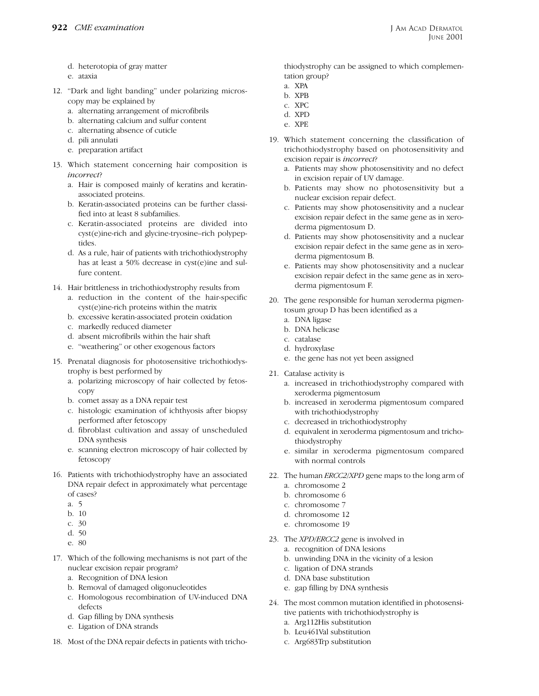- d. heterotopia of gray matter
- e. ataxia
- 12. "Dark and light banding" under polarizing microscopy may be explained by
	- a. alternating arrangement of microfibrils
	- b. alternating calcium and sulfur content
	- c. alternating absence of cuticle
	- d. pili annulati
	- e. preparation artifact
- 13. Which statement concerning hair composition is *incorrect*?
	- a. Hair is composed mainly of keratins and keratinassociated proteins.
	- b. Keratin-associated proteins can be further classified into at least 8 subfamilies.
	- c. Keratin-associated proteins are divided into cyst(e)ine-rich and glycine-tryosine–rich polypeptides.
	- d. As a rule, hair of patients with trichothiodystrophy has at least a 50% decrease in cyst(e)ine and sulfure content.
- 14. Hair brittleness in trichothiodystrophy results from
	- a. reduction in the content of the hair-specific cyst(e)ine-rich proteins within the matrix
	- b. excessive keratin-associated protein oxidation
	- c. markedly reduced diameter
	- d. absent microfibrils within the hair shaft
	- e. "weathering" or other exogenous factors
- 15. Prenatal diagnosis for photosensitive trichothiodystrophy is best performed by
	- a. polarizing microscopy of hair collected by fetoscopy
	- b. comet assay as a DNA repair test
	- c. histologic examination of ichthyosis after biopsy performed after fetoscopy
	- d. fibroblast cultivation and assay of unscheduled DNA synthesis
	- e. scanning electron microscopy of hair collected by fetoscopy
- 16. Patients with trichothiodystrophy have an associated DNA repair defect in approximately what percentage of cases?
	- a. 5
	- b. 10
	- c. 30
	- d. 50
	- e. 80
- 17. Which of the following mechanisms is not part of the nuclear excision repair program?
	- a. Recognition of DNA lesion
	- b. Removal of damaged oligonucleotides
	- c. Homologous recombination of UV-induced DNA defects
	- d. Gap filling by DNA synthesis
	- e. Ligation of DNA strands
- 18. Most of the DNA repair defects in patients with tricho-

thiodystrophy can be assigned to which complementation group?

- a. XPA
- b. XPB
- c. XPC
- d. XPD
- e. XPE
- 19. Which statement concerning the classification of trichothiodystrophy based on photosensitivity and excision repair is *incorrect*?
	- a. Patients may show photosensitivity and no defect in excision repair of UV damage.
	- b. Patients may show no photosensitivity but a nuclear excision repair defect.
	- c. Patients may show photosensitivity and a nuclear excision repair defect in the same gene as in xeroderma pigmentosum D.
	- d. Patients may show photosensitivity and a nuclear excision repair defect in the same gene as in xeroderma pigmentosum B.
	- e. Patients may show photosensitivity and a nuclear excision repair defect in the same gene as in xeroderma pigmentosum F.
- 20. The gene responsible for human xeroderma pigmentosum group D has been identified as a
	- a. DNA ligase
	- b. DNA helicase
	- c. catalase
	- d. hydroxylase
	- e. the gene has not yet been assigned
- 21. Catalase activity is
	- a. increased in trichothiodystrophy compared with xeroderma pigmentosum
	- b. increased in xeroderma pigmentosum compared with trichothiodystrophy
	- c. decreased in trichothiodystrophy
	- d. equivalent in xeroderma pigmentosum and trichothiodystrophy
	- e. similar in xeroderma pigmentosum compared with normal controls
- 22. The human *ERCC2/XPD* gene maps to the long arm of
	- a. chromosome 2
	- b. chromosome 6
	- c. chromosome 7
	- d. chromosome 12
	- e. chromosome 19
- 23. The *XPD/ERCC2* gene is involved in
	- a. recognition of DNA lesions
	- b. unwinding DNA in the vicinity of a lesion
	- c. ligation of DNA strands
	- d. DNA base substitution
	- e. gap filling by DNA synthesis
- 24. The most common mutation identified in photosensitive patients with trichothiodystrophy is
	- a. Arg112His substitution
	- b. Leu461Val substitution
	- c. Arg683Trp substitution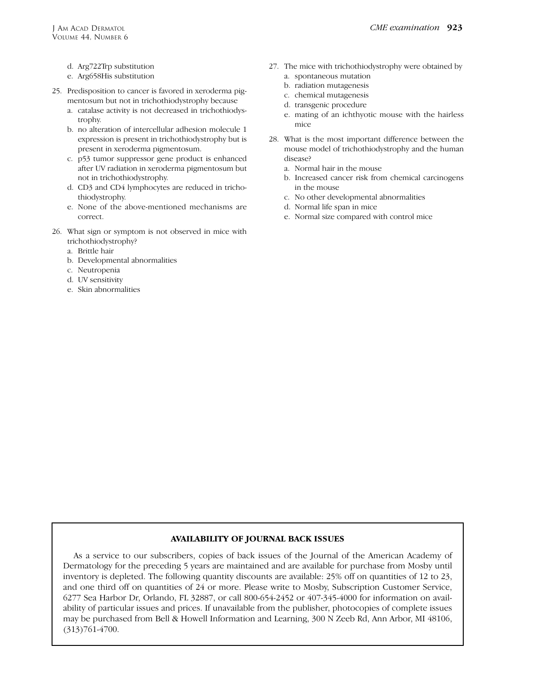- d. Arg722Trp substitution
- e. Arg658His substitution
- 25. Predisposition to cancer is favored in xeroderma pigmentosum but not in trichothiodystrophy because
	- a. catalase activity is not decreased in trichothiodystrophy.
	- b. no alteration of intercellular adhesion molecule 1 expression is present in trichothiodystrophy but is present in xeroderma pigmentosum.
	- c. p53 tumor suppressor gene product is enhanced after UV radiation in xeroderma pigmentosum but not in trichothiodystrophy.
	- d. CD3 and CD4 lymphocytes are reduced in trichothiodystrophy.
	- e. None of the above-mentioned mechanisms are correct.
- 26. What sign or symptom is not observed in mice with trichothiodystrophy?
	- a. Brittle hair
	- b. Developmental abnormalities
	- c. Neutropenia
	- d. UV sensitivity
	- e. Skin abnormalities
- 27. The mice with trichothiodystrophy were obtained by a. spontaneous mutation
	- b. radiation mutagenesis
	- c. chemical mutagenesis
	- d. transgenic procedure
	-
	- e. mating of an ichthyotic mouse with the hairless mice
- 28. What is the most important difference between the mouse model of trichothiodystrophy and the human disease?
	- a. Normal hair in the mouse
	- b. Increased cancer risk from chemical carcinogens in the mouse
	- c. No other developmental abnormalities
	- d. Normal life span in mice
	- e. Normal size compared with control mice

#### **AVAILABILITY OF JOURNAL BACK ISSUES**

As a service to our subscribers, copies of back issues of the Journal of the American Academy of Dermatology for the preceding 5 years are maintained and are available for purchase from Mosby until inventory is depleted. The following quantity discounts are available: 25% off on quantities of 12 to 23, and one third off on quantities of 24 or more. Please write to Mosby, Subscription Customer Service, 6277 Sea Harbor Dr, Orlando, FL 32887, or call 800-654-2452 or 407-345-4000 for information on availability of particular issues and prices. If unavailable from the publisher, photocopies of complete issues may be purchased from Bell & Howell Information and Learning, 300 N Zeeb Rd, Ann Arbor, MI 48106, (313)761-4700.